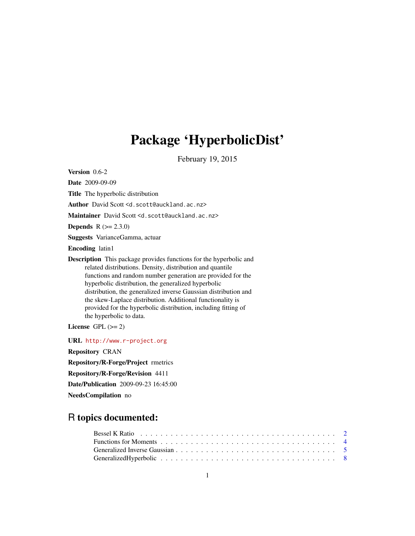# Package 'HyperbolicDist'

February 19, 2015

<span id="page-0-0"></span>Version 0.6-2

Date 2009-09-09

Title The hyperbolic distribution

Author David Scott <d.scott@auckland.ac.nz>

Maintainer David Scott <d.scott@auckland.ac.nz>

**Depends**  $R (= 2.3.0)$ 

Suggests VarianceGamma, actuar

Encoding latin1

Description This package provides functions for the hyperbolic and related distributions. Density, distribution and quantile functions and random number generation are provided for the hyperbolic distribution, the generalized hyperbolic distribution, the generalized inverse Gaussian distribution and the skew-Laplace distribution. Additional functionality is provided for the hyperbolic distribution, including fitting of the hyperbolic to data.

License GPL  $(>= 2)$ 

URL <http://www.r-project.org>

Repository CRAN

Repository/R-Forge/Project rmetrics

Repository/R-Forge/Revision 4411

Date/Publication 2009-09-23 16:45:00

NeedsCompilation no

## R topics documented: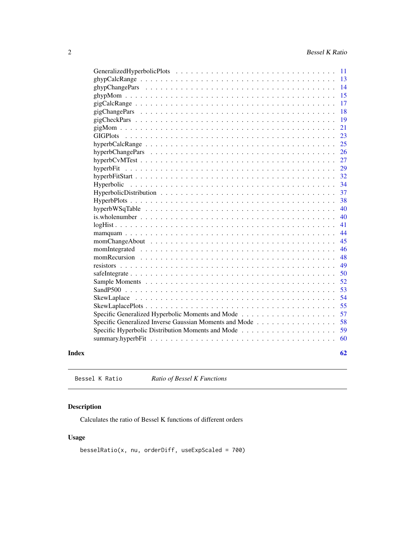<span id="page-1-0"></span>

|                                                        |  | -11 |
|--------------------------------------------------------|--|-----|
|                                                        |  | 13  |
|                                                        |  | 14  |
|                                                        |  | 15  |
|                                                        |  | 17  |
|                                                        |  | 18  |
|                                                        |  | 19  |
|                                                        |  | 21  |
| <b>GIGPlots</b>                                        |  | 23  |
|                                                        |  | 25  |
|                                                        |  | 26  |
|                                                        |  | 27  |
|                                                        |  | 29  |
|                                                        |  | 32  |
| Hyperbolic                                             |  | 34  |
|                                                        |  | 37  |
|                                                        |  | 38  |
|                                                        |  | 40  |
|                                                        |  | 40  |
|                                                        |  | 41  |
|                                                        |  | 44  |
|                                                        |  | 45  |
|                                                        |  | 46  |
|                                                        |  | 48  |
|                                                        |  | 49  |
|                                                        |  | 50  |
|                                                        |  | 52  |
|                                                        |  | 53  |
|                                                        |  | 54  |
|                                                        |  | 55  |
|                                                        |  | 57  |
| Specific Generalized Inverse Gaussian Moments and Mode |  | 58  |
|                                                        |  | 59  |
|                                                        |  | 60  |
| Index                                                  |  | 62  |

Bessel K Ratio *Ratio of Bessel K Functions*

## Description

Calculates the ratio of Bessel K functions of different orders

## Usage

```
besselRatio(x, nu, orderDiff, useExpScaled = 700)
```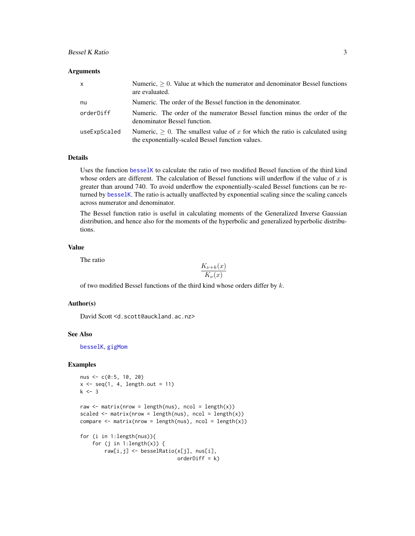## <span id="page-2-0"></span>Bessel K Ratio 3

#### Arguments

| $\mathsf{x}$ | Numeric, $> 0$ . Value at which the numerator and denominator Bessel functions<br>are evaluated.                                        |
|--------------|-----------------------------------------------------------------------------------------------------------------------------------------|
| nu           | Numeric. The order of the Bessel function in the denominator.                                                                           |
| orderDiff    | Numeric. The order of the numerator Bessel function minus the order of the<br>denominator Bessel function.                              |
| useExpScaled | Numeric, $\geq 0$ . The smallest value of x for which the ratio is calculated using<br>the exponentially-scaled Bessel function values. |

## Details

Uses the function [besselK](#page-0-0) to calculate the ratio of two modified Bessel function of the third kind whose orders are different. The calculation of Bessel functions will underflow if the value of  $x$  is greater than around 740. To avoid underflow the exponentially-scaled Bessel functions can be returned by [besselK](#page-0-0). The ratio is actually unaffected by exponential scaling since the scaling cancels across numerator and denominator.

The Bessel function ratio is useful in calculating moments of the Generalized Inverse Gaussian distribution, and hence also for the moments of the hyperbolic and generalized hyperbolic distributions.

## Value

The ratio

$$
\frac{K_{\nu+k}(x)}{K_{\nu}(x)}
$$

of two modified Bessel functions of the third kind whose orders differ by  $k$ .

#### Author(s)

David Scott <d.scott@auckland.ac.nz>

## See Also

[besselK](#page-0-0), [gigMom](#page-20-1)

```
nus <- c(0:5, 10, 20)
x \leftarrow \text{seq}(1, 4, \text{length.out} = 11)k < -3raw \leq matrix(nrow = length(nus), ncol = length(x))
scaled \leq matrix(nrow = length(nus), ncol = length(x))
compare \leq matrix(nrow = length(nus), ncol = length(x))
for (i in 1:length(nus)){
    for (j in 1:length(x)) {
        raw[i,j] <- besselRatio(x[j], nus[i],
                                  orderDiff = k)
```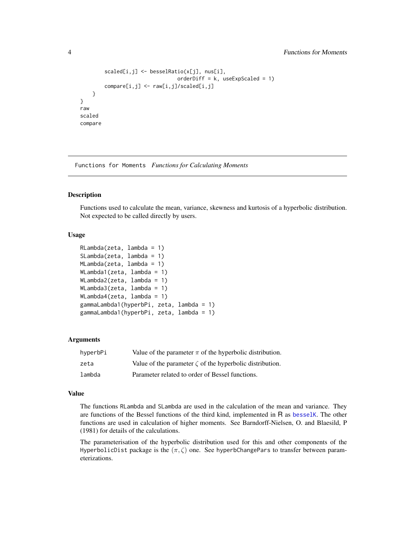```
scaled[i,j] \leftarrow besselRatio(x[j], nus[i],orderDiff = k, useExpScaled = 1)
        compare[i,j] <- raw[i,j]/scaled[i,j]
    }
raw
scaled
compare
```
Functions for Moments *Functions for Calculating Moments*

### <span id="page-3-1"></span>Description

}

Functions used to calculate the mean, variance, skewness and kurtosis of a hyperbolic distribution. Not expected to be called directly by users.

## Usage

```
RLambda(zeta, lambda = 1)
SLambda(zeta, lambda = 1)
MLambda(zeta, lambda = 1)
WLambda1(zeta, lambda = 1)
WLambda2(zeta, lambda = 1)
WLambda3(zeta, lambda = 1)
WLambda4(zeta, lambda = 1)
gammaLambda1(hyperbPi, zeta, lambda = 1)
gammaLambda1(hyperbPi, zeta, lambda = 1)
```
#### Arguments

| hyperbPi | Value of the parameter $\pi$ of the hyperbolic distribution.   |
|----------|----------------------------------------------------------------|
| zeta     | Value of the parameter $\zeta$ of the hyperbolic distribution. |
| lambda   | Parameter related to order of Bessel functions.                |

#### Value

The functions RLambda and SLambda are used in the calculation of the mean and variance. They are functions of the Bessel functions of the third kind, implemented in R as [besselK](#page-0-0). The other functions are used in calculation of higher moments. See Barndorff-Nielsen, O. and Blaesild, P (1981) for details of the calculations.

The parameterisation of the hyperbolic distribution used for this and other components of the HyperbolicDist package is the  $(\pi, \zeta)$  one. See hyperbChangePars to transfer between parameterizations.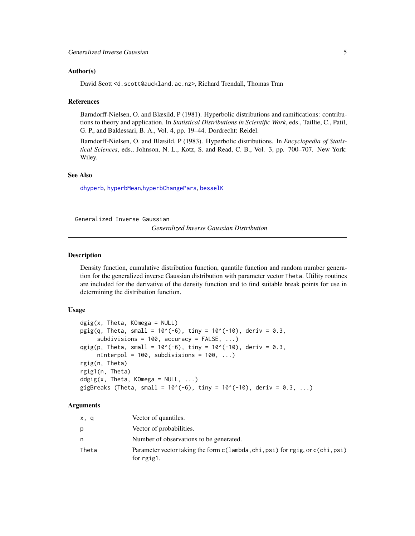#### <span id="page-4-0"></span>Author(s)

David Scott <d.scott@auckland.ac.nz>, Richard Trendall, Thomas Tran

#### References

Barndorff-Nielsen, O. and Blæsild, P (1981). Hyperbolic distributions and ramifications: contributions to theory and application. In *Statistical Distributions in Scientific Work*, eds., Taillie, C., Patil, G. P., and Baldessari, B. A., Vol. 4, pp. 19–44. Dordrecht: Reidel.

Barndorff-Nielsen, O. and Blæsild, P (1983). Hyperbolic distributions. In *Encyclopedia of Statistical Sciences*, eds., Johnson, N. L., Kotz, S. and Read, C. B., Vol. 3, pp. 700–707. New York: Wiley.

## See Also

[dhyperb](#page-33-1), [hyperbMean](#page-58-1),[hyperbChangePars](#page-25-1), [besselK](#page-0-0)

Generalized Inverse Gaussian

*Generalized Inverse Gaussian Distribution*

#### <span id="page-4-1"></span>Description

Density function, cumulative distribution function, quantile function and random number generation for the generalized inverse Gaussian distribution with parameter vector Theta. Utility routines are included for the derivative of the density function and to find suitable break points for use in determining the distribution function.

## Usage

```
\text{d}gig(x, \text{Theta}, \text{KOmega} = \text{NULL})pgig(q, Theta, small = 10^*(-6), tiny = 10^*(-10), deriv = 0.3,
     subdivisions = 100, accuracy = FALSE, ...)
qgig(p, Theta, small = 10^{-6}), tiny = 10^{-6}(-10), deriv = 0.3,
     nInterpol = 100, subdivisions = 100, ...)
rgig(n, Theta)
rgig1(n, Theta)
ddgig(x, Theta, KOmega = NULL, ...)
gigBreaks (Theta, small = 10^*(-6), tiny = 10^*(-10), deriv = 0.3, ...)
```
#### Arguments

| x, q  | Vector of quantiles.                                                                        |
|-------|---------------------------------------------------------------------------------------------|
| p     | Vector of probabilities.                                                                    |
| n.    | Number of observations to be generated.                                                     |
| Theta | Parameter vector taking the form c(lambda, chi, psi) for rgig, or c(chi, psi)<br>for rgig1. |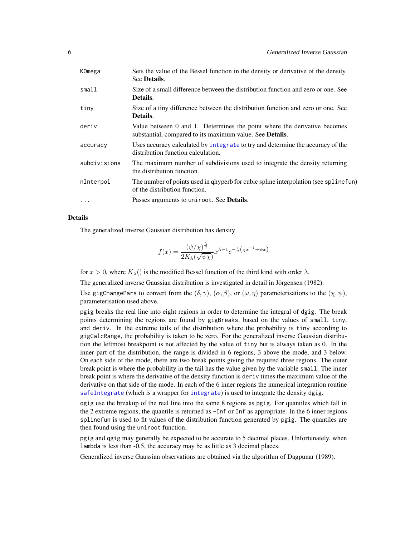<span id="page-5-0"></span>

| KOmega       | Sets the value of the Bessel function in the density or derivative of the density.<br>See <b>Details</b> .                                   |
|--------------|----------------------------------------------------------------------------------------------------------------------------------------------|
| small1       | Size of a small difference between the distribution function and zero or one. See<br>Details.                                                |
| tiny         | Size of a tiny difference between the distribution function and zero or one. See<br>Details.                                                 |
| deriv        | Value between 0 and 1. Determines the point where the derivative becomes<br>substantial, compared to its maximum value. See <b>Details</b> . |
| accuracy     | Uses accuracy calculated by integrate to try and determine the accuracy of the<br>distribution function calculation.                         |
| subdivisions | The maximum number of subdivisions used to integrate the density returning<br>the distribution function.                                     |
| nInterpol    | The number of points used in qhyperb for cubic spline interpolation (see splinefun)<br>of the distribution function.                         |
| $\cdot$      | Passes arguments to uniroot. See <b>Details</b> .                                                                                            |

#### Details

The generalized inverse Gaussian distribution has density

$$
f(x) = \frac{(\psi/\chi)^{\frac{\lambda}{2}}}{2K_{\lambda}(\sqrt{\psi\chi})} x^{\lambda - 1} e^{-\frac{1}{2}(\chi x^{-1} + \psi x)}
$$

for  $x > 0$ , where  $K_{\lambda}$ () is the modified Bessel function of the third kind with order  $\lambda$ .

The generalized inverse Gaussian distribution is investigated in detail in Jörgensen (1982).

Use gigChangePars to convert from the  $(\delta, \gamma)$ ,  $(\alpha, \beta)$ , or  $(\omega, \eta)$  parameterisations to the  $(\chi, \psi)$ , parameterisation used above.

pgig breaks the real line into eight regions in order to determine the integral of dgig. The break points determining the regions are found by gigBreaks, based on the values of small, tiny, and deriv. In the extreme tails of the distribution where the probability is tiny according to gigCalcRange, the probability is taken to be zero. For the generalized inverse Gaussian distribution the leftmost breakpoint is not affected by the value of tiny but is always taken as 0. In the inner part of the distribution, the range is divided in 6 regions, 3 above the mode, and 3 below. On each side of the mode, there are two break points giving the required three regions. The outer break point is where the probability in the tail has the value given by the variable small. The inner break point is where the derivative of the density function is deriv times the maximum value of the derivative on that side of the mode. In each of the 6 inner regions the numerical integration routine [safeIntegrate](#page-49-1) (which is a wrapper for [integrate](#page-0-0)) is used to integrate the density dgig.

qgig use the breakup of the real line into the same 8 regions as pgig. For quantiles which fall in the 2 extreme regions, the quantile is returned as -Inf or Inf as appropriate. In the 6 inner regions splinefun is used to fit values of the distribution function generated by pgig. The quantiles are then found using the uniroot function.

pgig and qgig may generally be expected to be accurate to 5 decimal places. Unfortunately, when lambda is less than -0.5, the accuracy may be as little as 3 decimal places.

Generalized inverse Gaussian observations are obtained via the algorithm of Dagpunar (1989).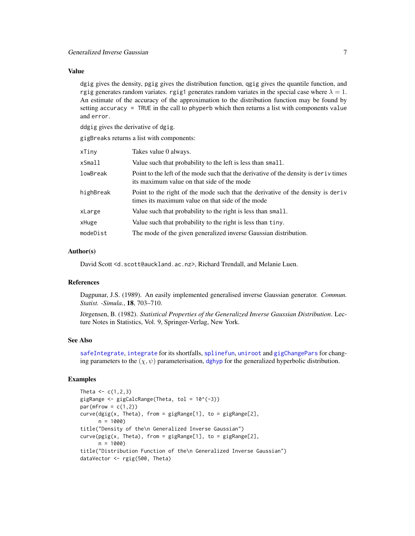## <span id="page-6-0"></span>Value

dgig gives the density, pgig gives the distribution function, qgig gives the quantile function, and rgig generates random variates. rgig1 generates random variates in the special case where  $\lambda = 1$ . An estimate of the accuracy of the approximation to the distribution function may be found by setting accuracy = TRUE in the call to phyperb which then returns a list with components value and error.

ddgig gives the derivative of dgig.

gigBreaks returns a list with components:

| xTiny     | Takes value 0 always.                                                                                                                |
|-----------|--------------------------------------------------------------------------------------------------------------------------------------|
| xSmall    | Value such that probability to the left is less than small.                                                                          |
| lowBreak  | Point to the left of the mode such that the derivative of the density is deriv times<br>its maximum value on that side of the mode   |
| highBreak | Point to the right of the mode such that the derivative of the density is derive<br>times its maximum value on that side of the mode |
| xLarge    | Value such that probability to the right is less than small.                                                                         |
| xHuge     | Value such that probability to the right is less than tiny.                                                                          |
| modeDist  | The mode of the given generalized inverse Gaussian distribution.                                                                     |

#### Author(s)

David Scott <d.scott@auckland.ac.nz>, Richard Trendall, and Melanie Luen.

## References

Dagpunar, J.S. (1989). An easily implemented generalised inverse Gaussian generator. *Commun. Statist. -Simula.*, 18, 703–710.

Jörgensen, B. (1982). *Statistical Properties of the Generalized Inverse Gaussian Distribution*. Lecture Notes in Statistics, Vol. 9, Springer-Verlag, New York.

#### See Also

[safeIntegrate](#page-49-1), [integrate](#page-0-0) for its shortfalls, [splinefun](#page-0-0), [uniroot](#page-0-0) and [gigChangePars](#page-17-1) for changing parameters to the  $(\chi, \psi)$  parameterisation, [dghyp](#page-7-1) for the generalized hyperbolic distribution.

```
Theta <-c(1,2,3)gigRange <- gigCalcRange(Theta, tol = 10^(-3))
par(mfrow = c(1,2))curve(dgig(x, Theta), from = gigRange[1], to = gigRange[2],n = 1000title("Density of the\n Generalized Inverse Gaussian")
curve(pgig(x, Theta), from = gigRange[1], to = gigRange[2],n = 1000title("Distribution Function of the\n Generalized Inverse Gaussian")
dataVector <- rgig(500, Theta)
```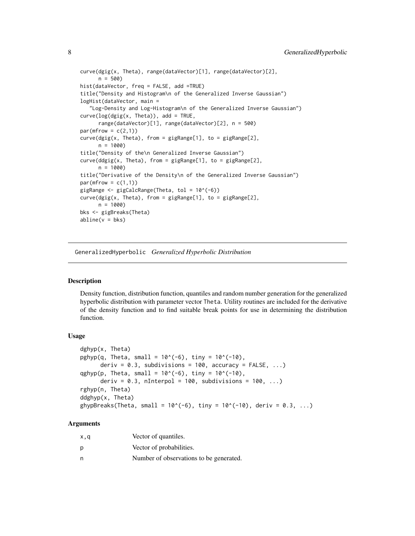```
curve(dgig(x, Theta), range(dataVector)[1], range(dataVector)[2],
      n = 500hist(dataVector, freq = FALSE, add =TRUE)
title("Density and Histogram\n of the Generalized Inverse Gaussian")
logHist(dataVector, main =
   "Log-Density and Log-Histogram\n of the Generalized Inverse Gaussian")
curve(log(gig(x, Theta)), add = TRUE,range(dataVector)[1], range(dataVector)[2], n = 500)
par(mfrow = c(2,1))curve(dgig(x, Theta), from = gigRange[1], to = gigRange[2],n = 1000)
title("Density of the\n Generalized Inverse Gaussian")
curve(ddgig(x, Theta), from = gigRange[1], to = gigRange[2],n = 1000title("Derivative of the Density\n of the Generalized Inverse Gaussian")
par(mfrow = c(1,1))gigRange <- gigCalcRange(Theta, tol = 10^(-6))
curve(dgig(x, Theta), from = gigRange[1], to = gigRange[2],
      n = 1000)
bks <- gigBreaks(Theta)
abline(v = bks)
```
GeneralizedHyperbolic *Generalized Hyperbolic Distribution*

#### <span id="page-7-1"></span>Description

Density function, distribution function, quantiles and random number generation for the generalized hyperbolic distribution with parameter vector Theta. Utility routines are included for the derivative of the density function and to find suitable break points for use in determining the distribution function.

#### Usage

```
dghyp(x, Theta)
pghyp(q, Theta, small = 10^*(-6), tiny = 10^*(-10),
      deriv = 0.3, subdivisions = 100, accuracy = FALSE, ...)
qghyp(p, Theta, small = 10^(-6), tiny = 10^(-10),deriv = 0.3, nInterpol = 100, subdivisions = 100, ...)
rghyp(n, Theta)
ddghyp(x, Theta)
ghypBreaks(Theta, small = 10^*(-6), tiny = 10^*(-10), deriv = 0.3, ...)
```
#### Arguments

| x,q | Vector of quantiles.                    |
|-----|-----------------------------------------|
| p   | Vector of probabilities.                |
| n   | Number of observations to be generated. |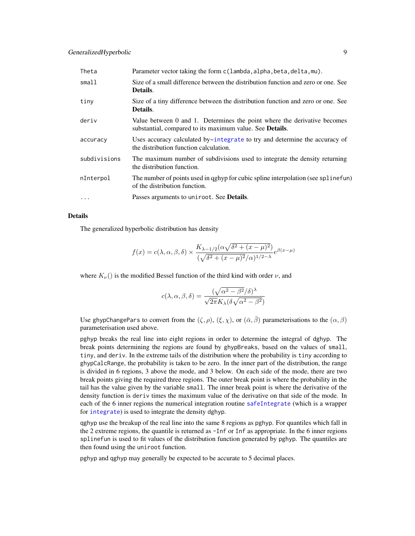<span id="page-8-0"></span>

| Theta        | Parameter vector taking the form c(lambda, alpha, beta, delta, mu).                                                                          |
|--------------|----------------------------------------------------------------------------------------------------------------------------------------------|
| small        | Size of a small difference between the distribution function and zero or one. See<br>Details.                                                |
| tiny         | Size of a tiny difference between the distribution function and zero or one. See<br>Details.                                                 |
| deriv        | Value between 0 and 1. Determines the point where the derivative becomes<br>substantial, compared to its maximum value. See <b>Details</b> . |
| accuracy     | Uses accuracy calculated by~integrate to try and determine the accuracy of<br>the distribution function calculation.                         |
| subdivisions | The maximum number of subdivisions used to integrate the density returning<br>the distribution function.                                     |
| nInterpol    | The number of points used in qghyp for cubic spline interpolation (see spline fun)<br>of the distribution function.                          |
| $\cdots$     | Passes arguments to uniroot. See <b>Details</b> .                                                                                            |

#### Details

The generalized hyperbolic distribution has density

$$
f(x) = c(\lambda, \alpha, \beta, \delta) \times \frac{K_{\lambda - 1/2}(\alpha \sqrt{\delta^2 + (x - \mu)^2})}{(\sqrt{\delta^2 + (x - \mu)^2} \alpha)^{1/2 - \lambda}} e^{\beta(x - \mu)}
$$

where  $K_{\nu}$ () is the modified Bessel function of the third kind with order  $\nu$ , and

$$
c(\lambda, \alpha, \beta, \delta) = \frac{(\sqrt{\alpha^2 - \beta^2}/\delta)^{\lambda}}{\sqrt{2\pi}K_{\lambda}(\delta\sqrt{\alpha^2 - \beta^2})}
$$

Use ghypChangePars to convert from the  $(\zeta, \rho)$ ,  $(\xi, \chi)$ , or  $(\bar{\alpha}, \bar{\beta})$  parameterisations to the  $(\alpha, \beta)$ parameterisation used above.

pghyp breaks the real line into eight regions in order to determine the integral of dghyp. The break points determining the regions are found by ghypBreaks, based on the values of small, tiny, and deriv. In the extreme tails of the distribution where the probability is tiny according to ghypCalcRange, the probability is taken to be zero. In the inner part of the distribution, the range is divided in 6 regions, 3 above the mode, and 3 below. On each side of the mode, there are two break points giving the required three regions. The outer break point is where the probability in the tail has the value given by the variable small. The inner break point is where the derivative of the density function is deriv times the maximum value of the derivative on that side of the mode. In each of the 6 inner regions the numerical integration routine [safeIntegrate](#page-49-1) (which is a wrapper for [integrate](#page-0-0)) is used to integrate the density dghyp.

qghyp use the breakup of the real line into the same 8 regions as pghyp. For quantiles which fall in the 2 extreme regions, the quantile is returned as -Inf or Inf as appropriate. In the 6 inner regions splinefun is used to fit values of the distribution function generated by pghyp. The quantiles are then found using the uniroot function.

pghyp and qghyp may generally be expected to be accurate to 5 decimal places.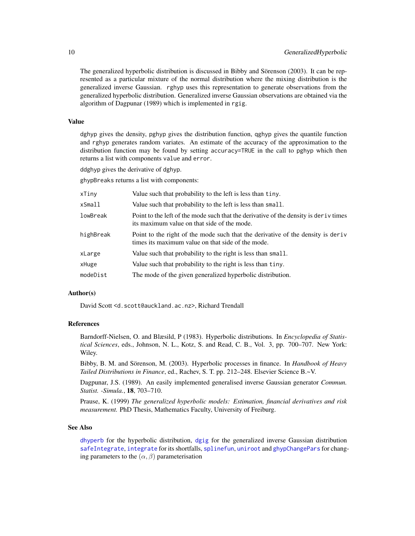The generalized hyperbolic distribution is discussed in Bibby and Sörenson (2003). It can be represented as a particular mixture of the normal distribution where the mixing distribution is the generalized inverse Gaussian. rghyp uses this representation to generate observations from the generalized hyperbolic distribution. Generalized inverse Gaussian observations are obtained via the algorithm of Dagpunar (1989) which is implemented in rgig.

#### Value

dghyp gives the density, pghyp gives the distribution function, qghyp gives the quantile function and rghyp generates random variates. An estimate of the accuracy of the approximation to the distribution function may be found by setting accuracy=TRUE in the call to pghyp which then returns a list with components value and error.

ddghyp gives the derivative of dghyp.

ghypBreaks returns a list with components:

| xTiny     | Value such that probability to the left is less than tiny.                                                                            |
|-----------|---------------------------------------------------------------------------------------------------------------------------------------|
| xSmall    | Value such that probability to the left is less than small.                                                                           |
| lowBreak  | Point to the left of the mode such that the derivative of the density is denote times<br>its maximum value on that side of the mode.  |
| highBreak | Point to the right of the mode such that the derivative of the density is derive<br>times its maximum value on that side of the mode. |
| xLarge    | Value such that probability to the right is less than small.                                                                          |
| xHuge     | Value such that probability to the right is less than tiny.                                                                           |
| modeDist  | The mode of the given generalized hyperbolic distribution.                                                                            |
|           |                                                                                                                                       |

## Author(s)

David Scott <d.scott@auckland.ac.nz>, Richard Trendall

## References

Barndorff-Nielsen, O. and Blæsild, P (1983). Hyperbolic distributions. In *Encyclopedia of Statistical Sciences*, eds., Johnson, N. L., Kotz, S. and Read, C. B., Vol. 3, pp. 700–707. New York: Wiley.

Bibby, B. M. and Sörenson, M. (2003). Hyperbolic processes in finance. In *Handbook of Heavy Tailed Distributions in Finance*, ed., Rachev, S. T. pp. 212–248. Elsevier Science B.~V.

Dagpunar, J.S. (1989). An easily implemented generalised inverse Gaussian generator *Commun. Statist. -Simula.*, 18, 703–710.

Prause, K. (1999) *The generalized hyperbolic models: Estimation, financial derivatives and risk measurement.* PhD Thesis, Mathematics Faculty, University of Freiburg.

## See Also

[dhyperb](#page-33-1) for the hyperbolic distribution, [dgig](#page-4-1) for the generalized inverse Gaussian distribution [safeIntegrate](#page-49-1), [integrate](#page-0-0) for its shortfalls, [splinefun](#page-0-0), [uniroot](#page-0-0) and [ghypChangePars](#page-13-1) for changing parameters to the  $(\alpha, \beta)$  parameterisation

<span id="page-9-0"></span>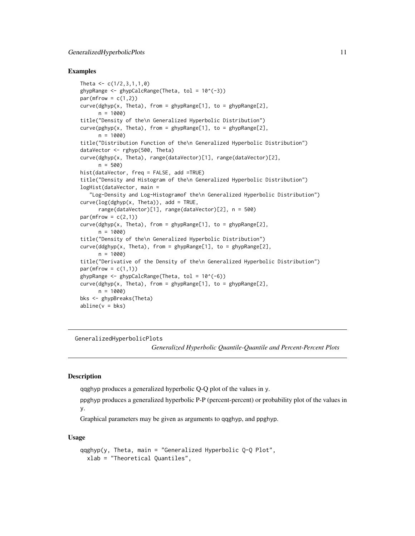### <span id="page-10-0"></span>Examples

```
Theta \leq c(1/2, 3, 1, 1, 0)ghypRange \leq ghypCalcRange(Theta, tol = 10^(-3))
par(mfrow = c(1,2))curve(dghyp(x, Theta), from = ghypRange[1], to = ghypRange[2],n = 1000)
title("Density of the\n Generalized Hyperbolic Distribution")
curve(pghyp(x, Theta), from = ghypRange[1], to = ghypRange[2],
      n = 1000title("Distribution Function of the\n Generalized Hyperbolic Distribution")
dataVector <- rghyp(500, Theta)
curve(dghyp(x, Theta), range(dataVector)[1], range(dataVector)[2],
      n = 500hist(dataVector, freq = FALSE, add =TRUE)
title("Density and Histogram of the\n Generalized Hyperbolic Distribution")
logHist(dataVector, main =
   "Log-Density and Log-Histogramof the\n Generalized Hyperbolic Distribution")
curve(log(dghyp(x, theta)), add = TRUE,
      range(dataVector)[1], range(dataVector)[2], n = 500)
par(mfrow = c(2,1))curve(dghyp(x, Theta), from = ghypRange[1], to = ghypRange[2],n = 1000title("Density of the\n Generalized Hyperbolic Distribution")
curve(ddghyp(x, Theta), from = ghypRange[1], to = ghypRange[2],
      n = 1000title("Derivative of the Density of the\n Generalized Hyperbolic Distribution")
par(mfrow = c(1,1))ghypRange \leq ghypCalcRange(Theta, tol = 10^(-6))
curve(dghyp(x, Theta), from = ghypRange[1], to = ghypRange[2],n = 1000)
bks <- ghypBreaks(Theta)
abline(v = bks)
```
GeneralizedHyperbolicPlots

*Generalized Hyperbolic Quantile-Quantile and Percent-Percent Plots*

#### Description

qqghyp produces a generalized hyperbolic Q-Q plot of the values in y.

ppghyp produces a generalized hyperbolic P-P (percent-percent) or probability plot of the values in y.

Graphical parameters may be given as arguments to qqghyp, and ppghyp.

#### Usage

```
qqghyp(y, Theta, main = "Generalized Hyperbolic Q-Q Plot",
 xlab = "Theoretical Quantiles",
```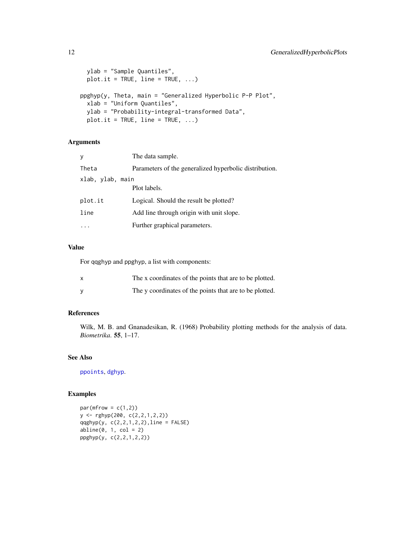```
ylab = "Sample Quantiles",
 plot.it = TRUE, line = TRUE, \ldots)
ppghyp(y, Theta, main = "Generalized Hyperbolic P-P Plot",
 xlab = "Uniform Quantiles",
 ylab = "Probability-integral-transformed Data",
 plot.it = TRUE, line = TRUE, ...)
```
## Arguments

| y       | The data sample.                                       |  |  |
|---------|--------------------------------------------------------|--|--|
| Theta   | Parameters of the generalized hyperbolic distribution. |  |  |
|         | xlab, ylab, main                                       |  |  |
|         | Plot labels.                                           |  |  |
| plot.it | Logical. Should the result be plotted?                 |  |  |
| line    | Add line through origin with unit slope.               |  |  |
|         | Further graphical parameters.                          |  |  |

## Value

For qqghyp and ppghyp, a list with components:

| The x coordinates of the points that are to be plotted. |
|---------------------------------------------------------|
| The y coordinates of the points that are to be plotted. |

## References

Wilk, M. B. and Gnanadesikan, R. (1968) Probability plotting methods for the analysis of data. *Biometrika*. 55, 1–17.

#### See Also

[ppoints](#page-0-0), [dghyp](#page-7-1).

```
par(mfrow = c(1,2))y <- rghyp(200, c(2,2,1,2,2))
qqghyp(y, c(2, 2, 1, 2, 2), line = FALSE)abline(0, 1, col = 2)ppghyp(y, c(2,2,1,2,2))
```
<span id="page-11-0"></span>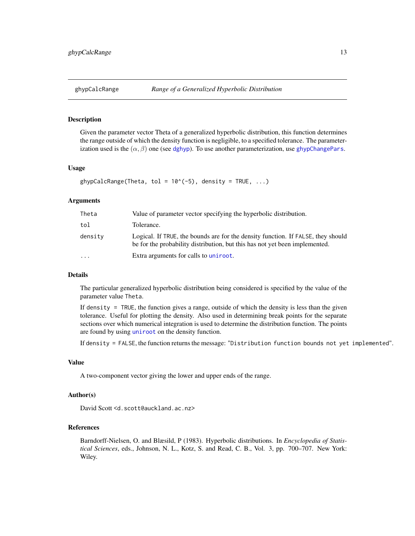## <span id="page-12-0"></span>Description

Given the parameter vector Theta of a generalized hyperbolic distribution, this function determines the range outside of which the density function is negligible, to a specified tolerance. The parameterization used is the  $(\alpha, \beta)$  one (see [dghyp](#page-7-1)). To use another parameterization, use [ghypChangePars](#page-13-1).

#### Usage

```
ghypCalcRange(Theta, tol = 10^*(-5), density = TRUE, ...)
```
## Arguments

| Theta    | Value of parameter vector specifying the hyperbolic distribution.                                                                                               |
|----------|-----------------------------------------------------------------------------------------------------------------------------------------------------------------|
| tol      | Tolerance.                                                                                                                                                      |
| density  | Logical. If TRUE, the bounds are for the density function. If FALSE, they should<br>be for the probability distribution, but this has not yet been implemented. |
| $\cdots$ | Extra arguments for calls to uniroot.                                                                                                                           |

#### Details

The particular generalized hyperbolic distribution being considered is specified by the value of the parameter value Theta.

If density = TRUE, the function gives a range, outside of which the density is less than the given tolerance. Useful for plotting the density. Also used in determining break points for the separate sections over which numerical integration is used to determine the distribution function. The points are found by using [uniroot](#page-0-0) on the density function.

If density = FALSE, the function returns the message: "Distribution function bounds not yet implemented".

#### Value

A two-component vector giving the lower and upper ends of the range.

## Author(s)

David Scott <d.scott@auckland.ac.nz>

#### References

Barndorff-Nielsen, O. and Blæsild, P (1983). Hyperbolic distributions. In *Encyclopedia of Statistical Sciences*, eds., Johnson, N. L., Kotz, S. and Read, C. B., Vol. 3, pp. 700–707. New York: Wiley.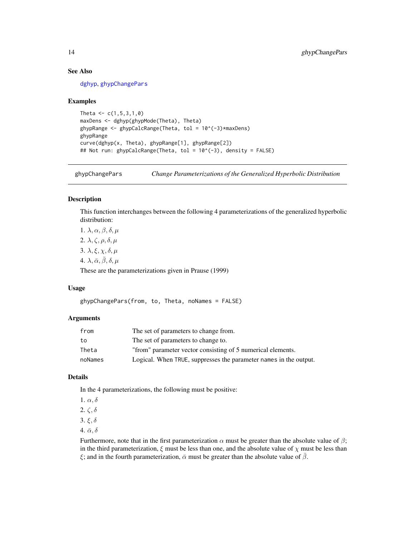## See Also

[dghyp](#page-7-1), [ghypChangePars](#page-13-1)

#### Examples

```
Theta <-c(1,5,3,1,0)maxDens <- dghyp(ghypMode(Theta), Theta)
ghypRange <- ghypCalcRange(Theta, tol = 10^(-3)*maxDens)
ghypRange
curve(dghyp(x, Theta), ghypRange[1], ghypRange[2])
## Not run: ghypCalcRange(Theta, tol = 10^(-3), density = FALSE)
```
<span id="page-13-1"></span>ghypChangePars *Change Parameterizations of the Generalized Hyperbolic Distribution*

## Description

This function interchanges between the following 4 parameterizations of the generalized hyperbolic distribution:

1.  $\lambda, \alpha, \beta, \delta, \mu$ 2.  $\lambda, \zeta, \rho, \delta, \mu$ 3.  $\lambda, \xi, \chi, \delta, \mu$ 4.  $\lambda$ ,  $\bar{\alpha}$ ,  $\bar{\beta}$ ,  $\delta$ ,  $\mu$ These are the parameterizations given in Prause (1999)

#### Usage

ghypChangePars(from, to, Theta, noNames = FALSE)

#### Arguments

| from    | The set of parameters to change from.                             |
|---------|-------------------------------------------------------------------|
| to      | The set of parameters to change to.                               |
| Theta   | "from" parameter vector consisting of 5 numerical elements.       |
| noNames | Logical. When TRUE, suppresses the parameter names in the output. |

## Details

In the 4 parameterizations, the following must be positive:

1.  $\alpha$ ,  $\delta$ 2.  $\zeta$ ,  $\delta$ 3. ξ, δ 4.  $\bar{\alpha}, \delta$ 

Furthermore, note that in the first parameterization  $\alpha$  must be greater than the absolute value of  $\beta$ ; in the third parameterization,  $\xi$  must be less than one, and the absolute value of  $\chi$  must be less than ξ; and in the fourth parameterization,  $\bar{\alpha}$  must be greater than the absolute value of  $\bar{\beta}$ .

<span id="page-13-0"></span>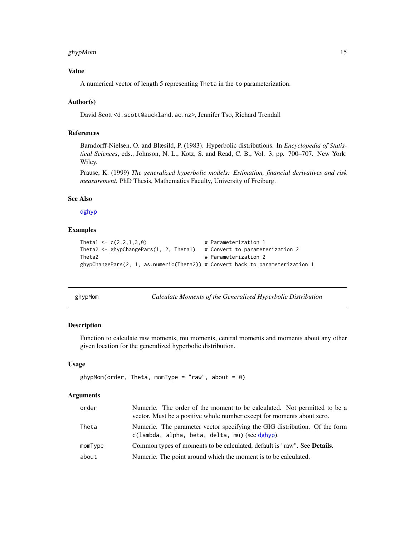## <span id="page-14-0"></span>ghypMom 15

## Value

A numerical vector of length 5 representing Theta in the to parameterization.

#### Author(s)

David Scott <d.scott@auckland.ac.nz>, Jennifer Tso, Richard Trendall

## References

Barndorff-Nielsen, O. and Blæsild, P. (1983). Hyperbolic distributions. In *Encyclopedia of Statistical Sciences*, eds., Johnson, N. L., Kotz, S. and Read, C. B., Vol. 3, pp. 700–707. New York: Wiley.

Prause, K. (1999) *The generalized hyperbolic models: Estimation, financial derivatives and risk measurement.* PhD Thesis, Mathematics Faculty, University of Freiburg.

## See Also

[dghyp](#page-7-1)

## Examples

```
Theta1 \leftarrow c(2,2,1,3,0) # Parameterization 1
Theta2 <- ghypChangePars(1, 2, Theta1) # Convert to parameterization 2
Theta2 # Parameterization 2
ghypChangePars(2, 1, as.numeric(Theta2)) # Convert back to parameterization 1
```
<span id="page-14-1"></span>ghypMom *Calculate Moments of the Generalized Hyperbolic Distribution*

#### Description

Function to calculate raw moments, mu moments, central moments and moments about any other given location for the generalized hyperbolic distribution.

## Usage

```
ghypMom(order, Theta, momType = "raw", about = \theta)
```
## Arguments

| order   | Numeric. The order of the moment to be calculated. Not permitted to be a<br>vector. Must be a positive whole number except for moments about zero. |
|---------|----------------------------------------------------------------------------------------------------------------------------------------------------|
| Theta   | Numeric. The parameter vector specifying the GIG distribution. Of the form<br>c(lambda, alpha, beta, delta, mu) (see dghyp).                       |
| momType | Common types of moments to be calculated, default is "raw". See Details.                                                                           |
| about   | Numeric. The point around which the moment is to be calculated.                                                                                    |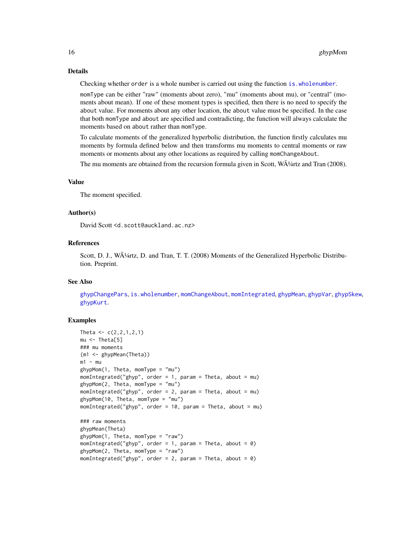## <span id="page-15-0"></span>Details

Checking whether order is a whole number is carried out using the function [is.wholenumber](#page-39-1).

momType can be either "raw" (moments about zero), "mu" (moments about mu), or "central" (moments about mean). If one of these moment types is specified, then there is no need to specify the about value. For moments about any other location, the about value must be specified. In the case that both momType and about are specified and contradicting, the function will always calculate the moments based on about rather than momType.

To calculate moments of the generalized hyperbolic distribution, the function firstly calculates mu moments by formula defined below and then transforms mu moments to central moments or raw moments or moments about any other locations as required by calling momChangeAbout.

The mu moments are obtained from the recursion formula given in Scott,  $W\ddot{A}/4rtz$  and Tran (2008).

#### Value

The moment specified.

#### Author(s)

David Scott <d.scott@auckland.ac.nz>

#### References

Scott, D. J., WA<sup>1</sup>/4rtz, D. and Tran, T. T. (2008) Moments of the Generalized Hyperbolic Distribution. Preprint.

#### See Also

[ghypChangePars](#page-13-1), [is.wholenumber](#page-39-1), [momChangeAbout](#page-44-1), [momIntegrated](#page-45-1), [ghypMean](#page-56-1), [ghypVar](#page-56-1), [ghypSkew](#page-56-1), [ghypKurt](#page-56-1).

```
Theta \leq c(2,2,1,2,1)mu <- Theta[5]
### mu moments
(m1 <- ghypMean(Theta))
m1 - mughypMom(1, Theta, momType = "mu")
momIntegrated("ghyp", order = 1, param = Theta, about = mu)
ghypMom(2, Theta, momType = "mu")
momIntegrated("ghyp", order = 2, param = Theta, about = mu)
ghypMom(10, Theta, momType = "mu")
momIntegrated("ghyp", order = 10, param = Theta, about = mu)
### raw moments
ghypMean(Theta)
ghypMom(1, Theta, momType = "raw")
momIntegrated("ghyp", order = 1, param = Theta, about = \theta)
ghypMom(2, Theta, momType = "raw")
momIntegrated("ghyp", order = 2, param = Theta, about = 0)
```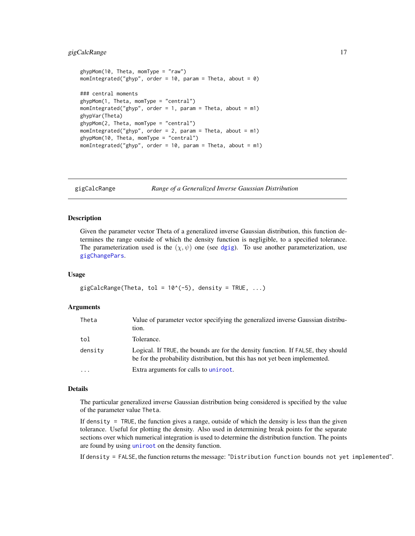## <span id="page-16-0"></span>gigCalcRange 17

```
ghypMom(10, Theta, momType = "raw")
momIntegrated("ghyp", order = 10, param = Theta, about = 0)
### central moments
ghypMom(1, Theta, momType = "central")
momIntegrated("ghyp", order = 1, param = Theta, about = m1)
ghypVar(Theta)
ghypMom(2, Theta, momType = "central")
momenting of ("ghyp", order = 2, param = Theta, about = m1)ghypMom(10, Theta, momType = "central")
momIntegrated("ghyp", order = 10, param = Theta, about = m1)
```
gigCalcRange *Range of a Generalized Inverse Gaussian Distribution*

## Description

Given the parameter vector Theta of a generalized inverse Gaussian distribution, this function determines the range outside of which the density function is negligible, to a specified tolerance. The parameterization used is the  $(\chi, \psi)$  one (see [dgig](#page-4-1)). To use another parameterization, use [gigChangePars](#page-17-1).

#### Usage

```
gigCalcRange(Theta, tol = 10^{\circ}(-5), density = TRUE, ...)
```
#### Arguments

| Theta   | Value of parameter vector specifying the generalized inverse Gaussian distribu-<br>tion.                                                                        |
|---------|-----------------------------------------------------------------------------------------------------------------------------------------------------------------|
| tol     | Tolerance.                                                                                                                                                      |
| density | Logical. If TRUE, the bounds are for the density function. If FALSE, they should<br>be for the probability distribution, but this has not yet been implemented. |
| .       | Extra arguments for calls to uniroot.                                                                                                                           |

#### Details

The particular generalized inverse Gaussian distribution being considered is specified by the value of the parameter value Theta.

If density = TRUE, the function gives a range, outside of which the density is less than the given tolerance. Useful for plotting the density. Also used in determining break points for the separate sections over which numerical integration is used to determine the distribution function. The points are found by using [uniroot](#page-0-0) on the density function.

If density = FALSE, the function returns the message: "Distribution function bounds not yet implemented".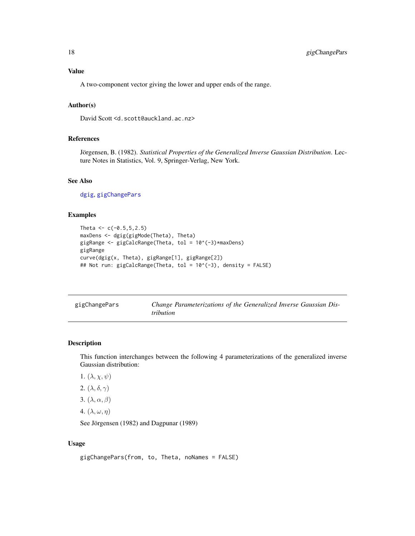## <span id="page-17-0"></span>Value

A two-component vector giving the lower and upper ends of the range.

#### Author(s)

David Scott <d.scott@auckland.ac.nz>

## References

Jörgensen, B. (1982). *Statistical Properties of the Generalized Inverse Gaussian Distribution*. Lecture Notes in Statistics, Vol. 9, Springer-Verlag, New York.

## See Also

[dgig](#page-4-1), [gigChangePars](#page-17-1)

#### Examples

```
Theta <-c(-0.5, 5, 2.5)maxDens <- dgig(gigMode(Theta), Theta)
gigRange <- gigCalcRange(Theta, tol = 10^(-3)*maxDens)
gigRange
curve(dgig(x, Theta), gigRange[1], gigRange[2])
## Not run: gigCalcRange(Theta, tol = 10^(-3), density = FALSE)
```
<span id="page-17-1"></span>

| gigChangePars | Change Parameterizations of the Generalized Inverse Gaussian Dis- |
|---------------|-------------------------------------------------------------------|
|               | <i>tribution</i>                                                  |

## Description

This function interchanges between the following 4 parameterizations of the generalized inverse Gaussian distribution:

- 1.  $(\lambda, \chi, \psi)$
- 2.  $(\lambda, \delta, \gamma)$
- 3.  $(\lambda, \alpha, \beta)$
- 4.  $(\lambda, \omega, \eta)$

See Jörgensen (1982) and Dagpunar (1989)

## Usage

```
gigChangePars(from, to, Theta, noNames = FALSE)
```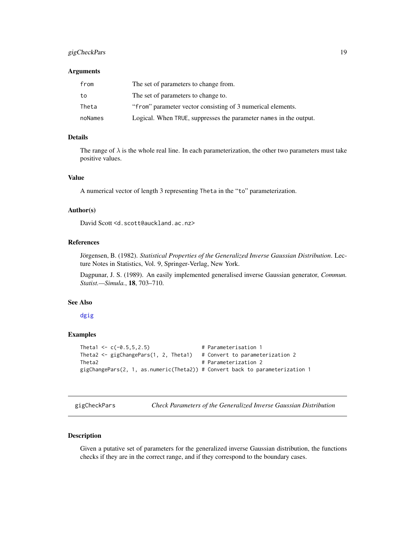## <span id="page-18-0"></span>gigCheckPars 19

#### Arguments

| from    | The set of parameters to change from.                             |
|---------|-------------------------------------------------------------------|
| to      | The set of parameters to change to.                               |
| Theta   | "from" parameter vector consisting of 3 numerical elements.       |
| noNames | Logical. When TRUE, suppresses the parameter names in the output. |

## Details

The range of  $\lambda$  is the whole real line. In each parameterization, the other two parameters must take positive values.

## Value

A numerical vector of length 3 representing Theta in the "to" parameterization.

#### Author(s)

David Scott <d.scott@auckland.ac.nz>

## References

Jörgensen, B. (1982). *Statistical Properties of the Generalized Inverse Gaussian Distribution*. Lecture Notes in Statistics, Vol. 9, Springer-Verlag, New York.

Dagpunar, J. S. (1989). An easily implemented generalised inverse Gaussian generator, *Commun. Statist.—Simula.*, 18, 703–710.

## See Also

[dgig](#page-4-1)

## Examples

```
Theta1 \leftarrow c(-0.5,5,2.5) # Parameterisation 1
Theta2 <- gigChangePars(1, 2, Theta1) # Convert to parameterization 2
Theta2 # Parameterization 2
gigChangePars(2, 1, as.numeric(Theta2)) # Convert back to parameterization 1
```
<span id="page-18-1"></span>gigCheckPars *Check Parameters of the Generalized Inverse Gaussian Distribution*

## Description

Given a putative set of parameters for the generalized inverse Gaussian distribution, the functions checks if they are in the correct range, and if they correspond to the boundary cases.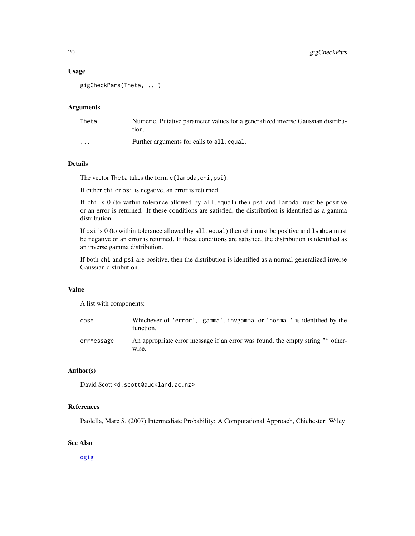## Usage

```
gigCheckPars(Theta, ...)
```
## Arguments

| Theta                   | Numeric. Putative parameter values for a generalized inverse Gaussian distribu-<br>tion. |
|-------------------------|------------------------------------------------------------------------------------------|
| $\cdot$ $\cdot$ $\cdot$ | Further arguments for calls to all. equal.                                               |

## Details

The vector Theta takes the form c(lambda,chi,psi).

If either chi or psi is negative, an error is returned.

If chi is 0 (to within tolerance allowed by all.equal) then psi and lambda must be positive or an error is returned. If these conditions are satisfied, the distribution is identified as a gamma distribution.

If psi is 0 (to within tolerance allowed by all.equal) then chi must be positive and lambda must be negative or an error is returned. If these conditions are satisfied, the distribution is identified as an inverse gamma distribution.

If both chi and psi are positive, then the distribution is identified as a normal generalized inverse Gaussian distribution.

## Value

A list with components:

| case       | Whichever of 'error', 'gamma', invgamma, or 'normal' is identified by the<br>function.  |
|------------|-----------------------------------------------------------------------------------------|
| errMessage | An appropriate error message if an error was found, the empty string "" other-<br>wise. |

## Author(s)

David Scott <d.scott@auckland.ac.nz>

#### References

Paolella, Marc S. (2007) Intermediate Probability: A Computational Approach, Chichester: Wiley

## See Also

[dgig](#page-4-1)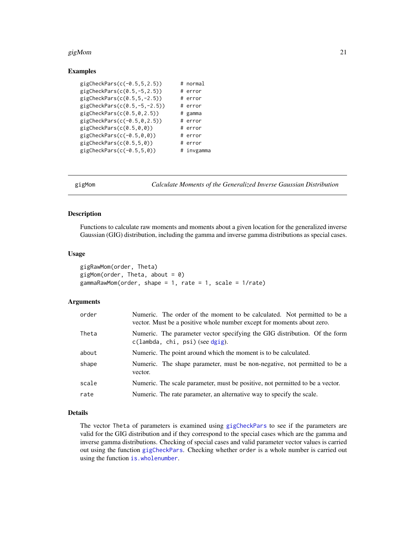#### <span id="page-20-0"></span> $g$ igMom 21

## Examples

| $gigCheckParts(c(-0.5, 5, 2.5))$  | # normal   |
|-----------------------------------|------------|
| $gigCheckParts(c(0.5, -5, 2.5))$  | # error    |
| $gigCheckParts(c(0.5, 5, -2.5))$  | # error    |
| $gigCheckParts(c(0.5, -5, -2.5))$ | # error    |
| gigCheckParts(c(0.5, 0, 2.5))     | # gamma    |
| $gigCheckParts(c(-0.5, 0, 2.5))$  | # error    |
| gigCheckParts(c(0.5, 0, 0))       | # error    |
| $gigCheckParts(c(-0.5, 0, 0))$    | # error    |
| gigCheckParts(c(0.5, 5, 0))       | # error    |
| $gigCheckParts(c(-0.5, 5, 0))$    | # invgamma |

<span id="page-20-1"></span>

gigMom *Calculate Moments of the Generalized Inverse Gaussian Distribution*

## Description

Functions to calculate raw moments and moments about a given location for the generalized inverse Gaussian (GIG) distribution, including the gamma and inverse gamma distributions as special cases.

#### Usage

```
gigRawMom(order, Theta)
gigMom(order, Theta, about = 0)
gammaRawMom(order, shape = 1, rate = 1, scale = 1/rate)
```
## Arguments

| order | Numeric. The order of the moment to be calculated. Not permitted to be a<br>vector. Must be a positive whole number except for moments about zero. |
|-------|----------------------------------------------------------------------------------------------------------------------------------------------------|
| Theta | Numeric. The parameter vector specifying the GIG distribution. Of the form<br>$c(lambda, chi, psi)$ (see dgig).                                    |
| about | Numeric. The point around which the moment is to be calculated.                                                                                    |
| shape | Numeric. The shape parameter, must be non-negative, not permitted to be a<br>vector.                                                               |
| scale | Numeric. The scale parameter, must be positive, not permitted to be a vector.                                                                      |
| rate  | Numeric. The rate parameter, an alternative way to specify the scale.                                                                              |
|       |                                                                                                                                                    |

## Details

The vector Theta of parameters is examined using [gigCheckPars](#page-18-1) to see if the parameters are valid for the GIG distribution and if they correspond to the special cases which are the gamma and inverse gamma distributions. Checking of special cases and valid parameter vector values is carried out using the function [gigCheckPars](#page-18-1). Checking whether order is a whole number is carried out using the function [is.wholenumber](#page-39-1).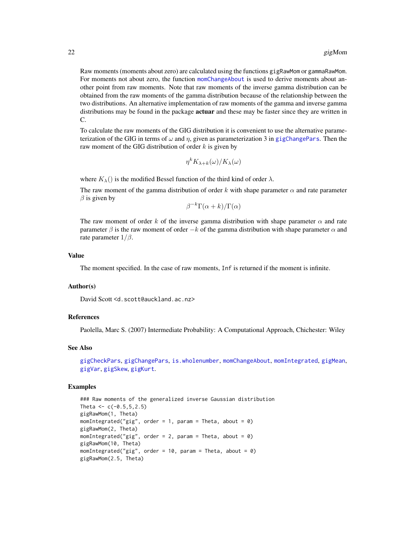<span id="page-21-0"></span>Raw moments (moments about zero) are calculated using the functions gigRawMom or gammaRawMom. For moments not about zero, the function [momChangeAbout](#page-44-1) is used to derive moments about another point from raw moments. Note that raw moments of the inverse gamma distribution can be obtained from the raw moments of the gamma distribution because of the relationship between the two distributions. An alternative implementation of raw moments of the gamma and inverse gamma distributions may be found in the package **actuar** and these may be faster since they are written in C.

To calculate the raw moments of the GIG distribution it is convenient to use the alternative parameterization of the GIG in terms of  $\omega$  and  $\eta$ , given as parameterization 3 in [gigChangePars](#page-17-1). Then the raw moment of the GIG distribution of order  $k$  is given by

$$
\eta^k K_{\lambda + k}(\omega)/K_{\lambda}(\omega)
$$

where  $K_{\lambda}$ () is the modified Bessel function of the third kind of order  $\lambda$ .

The raw moment of the gamma distribution of order k with shape parameter  $\alpha$  and rate parameter  $\beta$  is given by

 $\beta^{-k}\Gamma(\alpha + k)/\Gamma(\alpha)$ 

The raw moment of order k of the inverse gamma distribution with shape parameter  $\alpha$  and rate parameter  $\beta$  is the raw moment of order  $-k$  of the gamma distribution with shape parameter  $\alpha$  and rate parameter  $1/\beta$ .

#### Value

The moment specified. In the case of raw moments, Inf is returned if the moment is infinite.

## Author(s)

David Scott <d.scott@auckland.ac.nz>

## References

Paolella, Marc S. (2007) Intermediate Probability: A Computational Approach, Chichester: Wiley

#### See Also

```
gigCheckPars, gigChangePars, is.wholenumber, momChangeAbout, momIntegrated, gigMean,
gigVar, gigSkew, gigKurt.
```

```
### Raw moments of the generalized inverse Gaussian distribution
Theta <-c(-0.5, 5, 2.5)gigRawMom(1, Theta)
momIntegrated("gig", order = 1, param = Theta, about = 0)
gigRawMom(2, Theta)
momenting of "gig", order = 2, param = Theta, about = 0)gigRawMom(10, Theta)
momIntegrated("gig", order = 10, param = Theta, about = 0)
gigRawMom(2.5, Theta)
```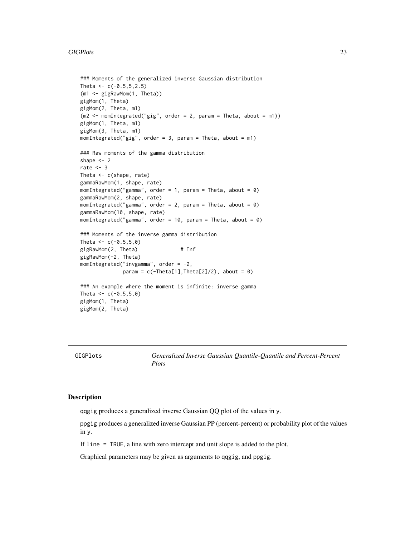#### <span id="page-22-0"></span>GIGPlots 23

```
### Moments of the generalized inverse Gaussian distribution
Theta <-c(-0.5, 5, 2.5)(m1 <- gigRawMom(1, Theta))
gigMom(1, Theta)
gigMom(2, Theta, m1)
(m2 < - momIntegrated("gig", order = 2, param = Theta, about = m1))
gigMom(1, Theta, m1)
gigMom(3, Theta, m1)
momIntegrated("gig", order = 3, param = Theta, about = m1)
### Raw moments of the gamma distribution
shape <-2rate <-3Theta <- c(shape, rate)
gammaRawMom(1, shape, rate)
momIntegrated("gamma", order = 1, param = Theta, about = 0)
gammaRawMom(2, shape, rate)
momIntegrated("gamma", order = 2, param = Theta, about = \emptyset)
gammaRawMom(10, shape, rate)
momIntegrated("gamma", order = 10, param = Theta, about = 0)
### Moments of the inverse gamma distribution
Theta <-c(-0.5,5,0)gigRawMom(2, Theta) # Inf
gigRawMom(-2, Theta)
momIntegrated("invgamma", order = -2,
             param = c(-Theta[1], Theta[2]/2), about = 0)
### An example where the moment is infinite: inverse gamma
Theta <-c(-0.5,5,0)gigMom(1, Theta)
gigMom(2, Theta)
```
GIGPlots *Generalized Inverse Gaussian Quantile-Quantile and Percent-Percent Plots*

## **Description**

qqgig produces a generalized inverse Gaussian QQ plot of the values in y.

ppgig produces a generalized inverse Gaussian PP (percent-percent) or probability plot of the values in y.

If line = TRUE, a line with zero intercept and unit slope is added to the plot.

Graphical parameters may be given as arguments to qqgig, and ppgig.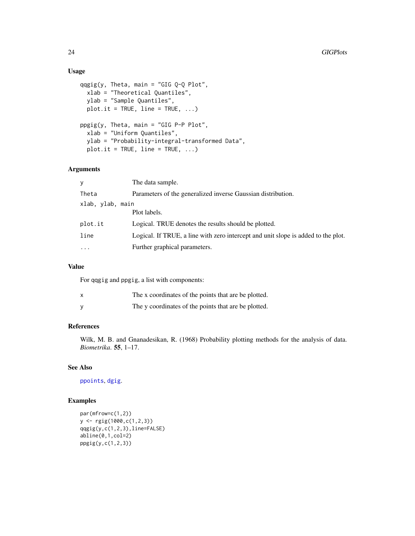## Usage

```
qqgig(y, Theta, main = "GIG Q-Q Plot",
  xlab = "Theoretical Quantiles",
 ylab = "Sample Quantiles",
 plot.it = TRUE, line = TRUE, \ldots)
ppgig(y, Theta, main = "GIG P-P Plot",
  xlab = "Uniform Quantiles",
  ylab = "Probability-integral-transformed Data",
 plot.it = TRUE, line = TRUE, ...)
```
## Arguments

| y                | The data sample.                                                                  |
|------------------|-----------------------------------------------------------------------------------|
| Theta            | Parameters of the generalized inverse Gaussian distribution.                      |
| xlab, ylab, main |                                                                                   |
|                  | Plot labels.                                                                      |
| plot.it          | Logical. TRUE denotes the results should be plotted.                              |
| line             | Logical. If TRUE, a line with zero intercept and unit slope is added to the plot. |
| $\cdots$         | Further graphical parameters.                                                     |

## Value

For qqgig and ppgig, a list with components:

| x | The x coordinates of the points that are be plotted. |
|---|------------------------------------------------------|
|   | The y coordinates of the points that are be plotted. |

## References

Wilk, M. B. and Gnanadesikan, R. (1968) Probability plotting methods for the analysis of data. *Biometrika*. 55, 1–17.

## See Also

[ppoints](#page-0-0), [dgig](#page-4-1).

```
par(mfrow=c(1,2))
y <- rgig(1000,c(1,2,3))
qqgig(y,c(1,2,3),line=FALSE)
abline(0,1,col=2)
ppgig(y,c(1,2,3))
```
<span id="page-23-0"></span>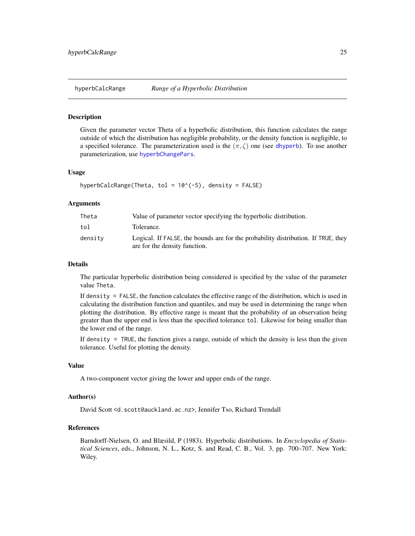<span id="page-24-0"></span>

#### Description

Given the parameter vector Theta of a hyperbolic distribution, this function calculates the range outside of which the distribution has negligible probability, or the density function is negligible, to a specified tolerance. The parameterization used is the  $(\pi, \zeta)$  one (see [dhyperb](#page-33-1)). To use another parameterization, use [hyperbChangePars](#page-25-1).

#### Usage

```
hyperbCalcRange(Theta, tol = 10^*(-5), density = FALSE)
```
#### Arguments

| Theta   | Value of parameter vector specifying the hyperbolic distribution.                                                  |
|---------|--------------------------------------------------------------------------------------------------------------------|
| tol     | Tolerance.                                                                                                         |
| density | Logical. If FALSE, the bounds are for the probability distribution. If TRUE, they<br>are for the density function. |

## Details

The particular hyperbolic distribution being considered is specified by the value of the parameter value Theta.

If density = FALSE, the function calculates the effective range of the distribution, which is used in calculating the distribution function and quantiles, and may be used in determining the range when plotting the distribution. By effective range is meant that the probability of an observation being greater than the upper end is less than the specified tolerance tol. Likewise for being smaller than the lower end of the range.

If density = TRUE, the function gives a range, outside of which the density is less than the given tolerance. Useful for plotting the density.

#### Value

A two-component vector giving the lower and upper ends of the range.

## Author(s)

David Scott <d.scott@auckland.ac.nz>, Jennifer Tso, Richard Trendall

## References

Barndorff-Nielsen, O. and Blæsild, P (1983). Hyperbolic distributions. In *Encyclopedia of Statistical Sciences*, eds., Johnson, N. L., Kotz, S. and Read, C. B., Vol. 3, pp. 700–707. New York: Wiley.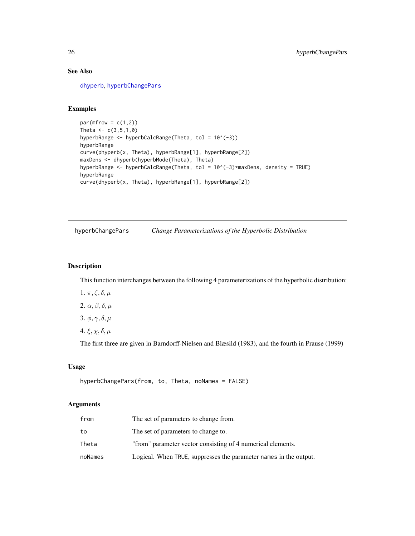## See Also

[dhyperb](#page-33-1), [hyperbChangePars](#page-25-1)

## Examples

```
par(mfrow = c(1,2))Theta <-c(3,5,1,0)hyperbRange <- hyperbCalcRange(Theta, tol = 10^(-3))
hyperbRange
curve(phyperb(x, Theta), hyperbRange[1], hyperbRange[2])
maxDens <- dhyperb(hyperbMode(Theta), Theta)
hyperbRange <- hyperbCalcRange(Theta, tol = 10^(-3)*maxDens, density = TRUE)
hyperbRange
curve(dhyperb(x, Theta), hyperbRange[1], hyperbRange[2])
```
<span id="page-25-1"></span>hyperbChangePars *Change Parameterizations of the Hyperbolic Distribution*

## Description

This function interchanges between the following 4 parameterizations of the hyperbolic distribution:

- 1.  $\pi, \zeta, \delta, \mu$
- 2.  $\alpha$ ,  $\beta$ ,  $\delta$ ,  $\mu$
- 3.  $\phi$ ,  $\gamma$ ,  $\delta$ ,  $\mu$
- 4.  $\xi, \chi, \delta, \mu$

The first three are given in Barndorff-Nielsen and Blæsild (1983), and the fourth in Prause (1999)

#### Usage

```
hyperbChangePars(from, to, Theta, noNames = FALSE)
```
## Arguments

| from    | The set of parameters to change from.                             |
|---------|-------------------------------------------------------------------|
| to      | The set of parameters to change to.                               |
| Theta   | "from" parameter vector consisting of 4 numerical elements.       |
| noNames | Logical. When TRUE, suppresses the parameter names in the output. |

<span id="page-25-0"></span>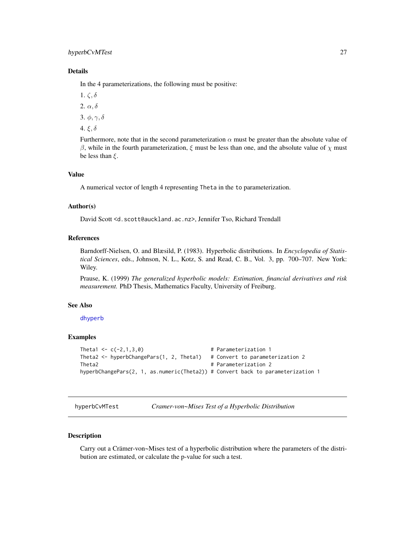## <span id="page-26-0"></span>hyperbCvMTest 27

## Details

In the 4 parameterizations, the following must be positive:

- 1.  $\zeta$ ,  $\delta$
- 2.  $\alpha$ ,  $\delta$
- 3.  $\phi, \gamma, \delta$
- 4. ξ, δ

Furthermore, note that in the second parameterization  $\alpha$  must be greater than the absolute value of β, while in the fourth parameterization, ξ must be less than one, and the absolute value of  $\chi$  must be less than  $\xi$ .

## Value

A numerical vector of length 4 representing Theta in the to parameterization.

#### Author(s)

David Scott <d.scott@auckland.ac.nz>, Jennifer Tso, Richard Trendall

## References

Barndorff-Nielsen, O. and Blæsild, P. (1983). Hyperbolic distributions. In *Encyclopedia of Statistical Sciences*, eds., Johnson, N. L., Kotz, S. and Read, C. B., Vol. 3, pp. 700–707. New York: Wiley.

Prause, K. (1999) *The generalized hyperbolic models: Estimation, financial derivatives and risk measurement.* PhD Thesis, Mathematics Faculty, University of Freiburg.

#### See Also

[dhyperb](#page-33-1)

#### Examples

```
Theta1 \leftarrow c(-2,1,3,0) # Parameterization 1
Theta2 <- hyperbChangePars(1, 2, Theta1) # Convert to parameterization 2
Theta2 # Parameterization 2
hyperbChangePars(2, 1, as.numeric(Theta2)) # Convert back to parameterization 1
```
hyperbCvMTest *Cramer-von~Mises Test of a Hyperbolic Distribution*

## Description

Carry out a Crämer-von~Mises test of a hyperbolic distribution where the parameters of the distribution are estimated, or calculate the p-value for such a test.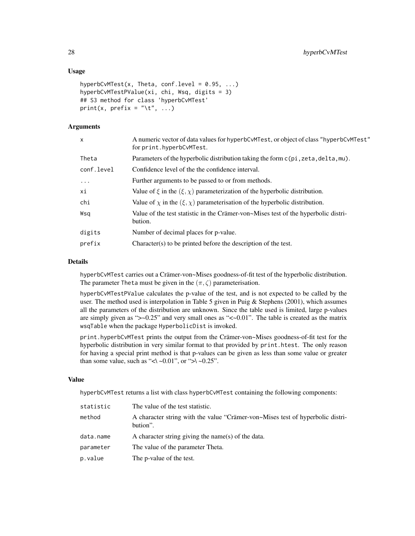## Usage

```
hyperbCvMTest(x, Theta, conf.level = 0.95, ...)hyperbCvMTestPValue(xi, chi, Wsq, digits = 3)
## S3 method for class 'hyperbCvMTest'
print(x, prefix = "\setminus t", ...)
```
## Arguments

| X          | A numeric vector of data values for hyperbCvMTest, or object of class "hyperbCvMTest"<br>for print.hyperbCvMTest. |
|------------|-------------------------------------------------------------------------------------------------------------------|
| Theta      | Parameters of the hyperbolic distribution taking the form $c$ (pi, zeta, delta, mu).                              |
| conf.level | Confidence level of the the confidence interval.                                                                  |
| $\ddots$   | Further arguments to be passed to or from methods.                                                                |
| хi         | Value of $\xi$ in the $(\xi, \chi)$ parameterization of the hyperbolic distribution.                              |
| chi        | Value of $\chi$ in the $(\xi, \chi)$ parameterisation of the hyperbolic distribution.                             |
| Wsa        | Value of the test statistic in the Crämer-von~Mises test of the hyperbolic distri-<br>bution.                     |
| digits     | Number of decimal places for p-value.                                                                             |
| prefix     | Character(s) to be printed before the description of the test.                                                    |
|            |                                                                                                                   |

## Details

hyperbCvMTest carries out a Crämer-von~Mises goodness-of-fit test of the hyperbolic distribution. The parameter Theta must be given in the  $(\pi, \zeta)$  parameterisation.

hyperbCvMTestPValue calculates the p-value of the test, and is not expected to be called by the user. The method used is interpolation in Table 5 given in Puig & Stephens (2001), which assumes all the parameters of the distribution are unknown. Since the table used is limited, large p-values are simply given as " $>0.25$ " and very small ones as " $<-0.01$ ". The table is created as the matrix wsqTable when the package HyperbolicDist is invoked.

print.hyperbCvMTest prints the output from the Crämer-von~Mises goodness-of-fit test for the hyperbolic distribution in very similar format to that provided by print.htest. The only reason for having a special print method is that p-values can be given as less than some value or greater than some value, such as "<\ ~0.01", or ">\ ~0.25".

## Value

hyperbCvMTest returns a list with class hyperbCvMTest containing the following components:

| statistic | The value of the test statistic.                                                           |
|-----------|--------------------------------------------------------------------------------------------|
| method    | A character string with the value "Crämer-von~Mises test of hyperbolic distri-<br>bution". |
| data.name | A character string giving the name(s) of the data.                                         |
| parameter | The value of the parameter Theta.                                                          |
| p.value   | The p-value of the test.                                                                   |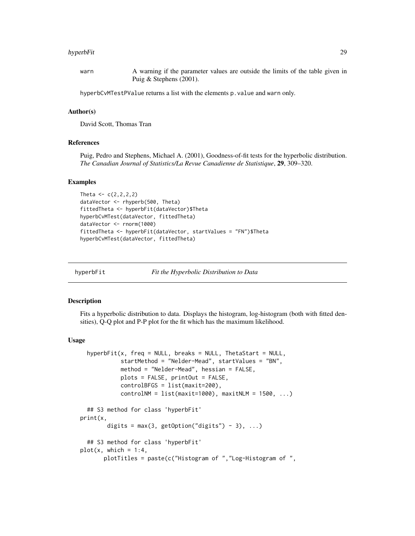#### <span id="page-28-0"></span>hyperbFit 29

warn A warning if the parameter values are outside the limits of the table given in Puig & Stephens (2001).

hyperbCvMTestPValue returns a list with the elements p.value and warn only.

#### Author(s)

David Scott, Thomas Tran

#### References

Puig, Pedro and Stephens, Michael A. (2001), Goodness-of-fit tests for the hyperbolic distribution. *The Canadian Journal of Statistics/La Revue Canadienne de Statistique*, 29, 309–320.

#### Examples

```
Theta <-c(2,2,2,2)dataVector <- rhyperb(500, Theta)
fittedTheta <- hyperbFit(dataVector)$Theta
hyperbCvMTest(dataVector, fittedTheta)
dataVector <- rnorm(1000)
fittedTheta <- hyperbFit(dataVector, startValues = "FN")$Theta
hyperbCvMTest(dataVector, fittedTheta)
```
<span id="page-28-1"></span>hyperbFit *Fit the Hyperbolic Distribution to Data*

## <span id="page-28-2"></span>Description

Fits a hyperbolic distribution to data. Displays the histogram, log-histogram (both with fitted densities), Q-Q plot and P-P plot for the fit which has the maximum likelihood.

#### Usage

```
hyperbFit(x, freq = NULL, breaks = NULL, ThetaStart = NULL,
            startMethod = "Nelder-Mead", startValues = "BN",
            method = "Nelder-Mead", hessian = FALSE,
            plots = FALSE, printOut = FALSE,
            controlBFGS = list(maxit=200),
            controlNM = list(maxit=1000), maxitNLM = 1500, ...## S3 method for class 'hyperbFit'
print(x,
       digits = max(3, getOption("digits") - 3), ...## S3 method for class 'hyperbFit'
plot(x, which = 1:4,plotTitles = paste(c("Histogram of ","Log-Histogram of ",
```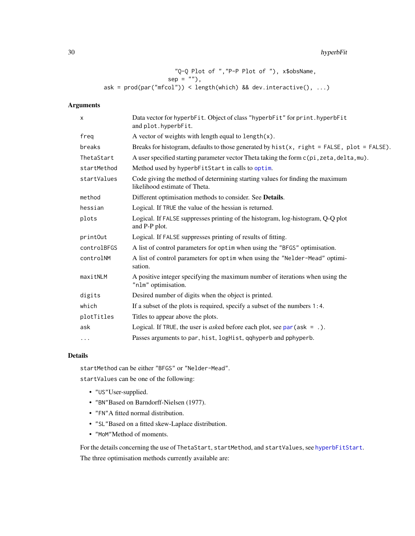<span id="page-29-0"></span>30 hyperbFit

"Q-Q Plot of ","P-P Plot of "), x\$obsName,  $sep = "")$ , ask = prod(par("mfcol")) < length(which) && dev.interactive(), ...)

## Arguments

| X           | Data vector for hyperbFit. Object of class "hyperbFit" for print. hyperbFit<br>and plot.hyperbFit.             |
|-------------|----------------------------------------------------------------------------------------------------------------|
| freg        | A vector of weights with length equal to $length(x)$ .                                                         |
| breaks      | Breaks for histogram, defaults to those generated by $hist(x, right = FALSE, plot = FALSE)$ .                  |
| ThetaStart  | A user specified starting parameter vector Theta taking the form c(pi, zeta, delta, mu).                       |
| startMethod | Method used by hyperbFitStart in calls to optim.                                                               |
| startValues | Code giving the method of determining starting values for finding the maximum<br>likelihood estimate of Theta. |
| method      | Different optimisation methods to consider. See Details.                                                       |
| hessian     | Logical. If TRUE the value of the hessian is returned.                                                         |
| plots       | Logical. If FALSE suppresses printing of the histogram, log-histogram, Q-Q plot<br>and P-P plot.               |
| printOut    | Logical. If FALSE suppresses printing of results of fitting.                                                   |
| controlBFGS | A list of control parameters for optim when using the "BFGS" optimisation.                                     |
| controlNM   | A list of control parameters for optim when using the "Nelder-Mead" optimi-<br>sation.                         |
| maxitNLM    | A positive integer specifying the maximum number of iterations when using the<br>"nlm" optimisation.           |
| digits      | Desired number of digits when the object is printed.                                                           |
| which       | If a subset of the plots is required, specify a subset of the numbers $1:4$ .                                  |
| plotTitles  | Titles to appear above the plots.                                                                              |
| ask         | Logical. If TRUE, the user is <i>asked</i> before each plot, see $par(ask = .)$ .                              |
| $\cdots$    | Passes arguments to par, hist, logHist, qqhyperb and pphyperb.                                                 |
|             |                                                                                                                |

#### Details

startMethod can be either "BFGS" or "Nelder-Mead". startValues can be one of the following:

- "US"User-supplied.
- "BN"Based on Barndorff-Nielsen (1977).
- "FN"A fitted normal distribution.
- "SL"Based on a fitted skew-Laplace distribution.
- "MoM"Method of moments.

For the details concerning the use of ThetaStart, startMethod, and startValues, see [hyperbFitStart](#page-31-1). The three optimisation methods currently available are: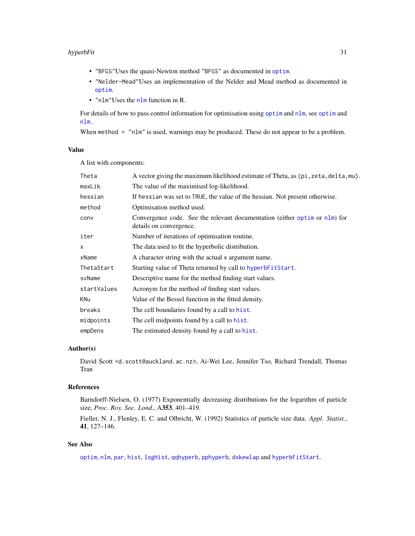#### <span id="page-30-0"></span>hyperbFit 31

- "BFGS"Uses the quasi-Newton method "BFGS" as documented in [optim](#page-0-0).
- "Nelder-Mead"Uses an implementation of the Nelder and Mead method as documented in [optim](#page-0-0).
- "nlm"Uses the [nlm](#page-0-0) function in R.

For details of how to pass control information for optimisation using [optim](#page-0-0) and [nlm](#page-0-0), see [optim](#page-0-0) and [nlm.](#page-0-0)

When method = "nlm" is used, warnings may be produced. These do not appear to be a problem.

#### Value

A list with components:

| Theta        | A vector giving the maximum likelihood estimate of Theta, as (pi, zeta, delta, mu).                   |  |
|--------------|-------------------------------------------------------------------------------------------------------|--|
| maxLik       | The value of the maximised log-likelihood.                                                            |  |
| hessian      | If hessian was set to TRUE, the value of the hessian. Not present otherwise.                          |  |
| method       | Optimisation method used.                                                                             |  |
| conv         | Convergence code. See the relevant documentation (either optim or nlm) for<br>details on convergence. |  |
| iter         | Number of iterations of optimisation routine.                                                         |  |
| $\mathsf{x}$ | The data used to fit the hyperbolic distribution.                                                     |  |
| xName        | A character string with the actual x argument name.                                                   |  |
| ThetaStart   | Starting value of Theta returned by call to hyperbFitStart.                                           |  |
| svName       | Descriptive name for the method finding start values.                                                 |  |
| startValues  | Acronym for the method of finding start values.                                                       |  |
| KNu          | Value of the Bessel function in the fitted density.                                                   |  |
| breaks       | The cell boundaries found by a call to hist.                                                          |  |
| midpoints    | The cell midpoints found by a call to hist.                                                           |  |
| empDens      | The estimated density found by a call to hist.                                                        |  |

#### Author(s)

David Scott <d.scott@auckland.ac.nz>, Ai-Wei Lee, Jennifer Tso, Richard Trendall, Thomas Tran

## References

Barndorff-Nielsen, O. (1977) Exponentially decreasing distributions for the logarithm of particle size, *Proc. Roy. Soc. Lond.*, A353, 401–419.

Fieller, N. J., Flenley, E. C. and Olbricht, W. (1992) Statistics of particle size data. *Appl. Statist.*, 41, 127–146.

## See Also

[optim](#page-0-0), [nlm](#page-0-0), [par](#page-0-0), [hist](#page-0-0), [logHist](#page-40-1), [qqhyperb](#page-37-1), [pphyperb](#page-37-1), [dskewlap](#page-53-1) and [hyperbFitStart](#page-31-1).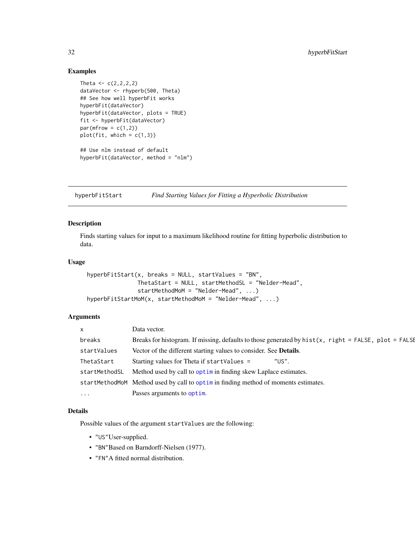### <span id="page-31-0"></span>Examples

```
Theta <-c(2,2,2,2)dataVector <- rhyperb(500, Theta)
## See how well hyperbFit works
hyperbFit(dataVector)
hyperbFit(dataVector, plots = TRUE)
fit <- hyperbFit(dataVector)
par(mfrow = c(1,2))plot(fit, which = c(1,3))## Use nlm instead of default
```
hyperbFit(dataVector, method = "nlm")

<span id="page-31-1"></span>hyperbFitStart *Find Starting Values for Fitting a Hyperbolic Distribution*

## Description

Finds starting values for input to a maximum likelihood routine for fitting hyperbolic distribution to data.

## Usage

```
hyperbFitStart(x, breaks = NULL, startValues = "BN",
               ThetaStart = NULL, startMethodSL = "Nelder-Mead",
               startMethodMoM = "Nelder-Mead", ...)
hyperbFitStartMoM(x, startMethodMoM = "Nelder-Mead", ...)
```
## Arguments

| $\times$            | Data vector.                                                                                         |
|---------------------|------------------------------------------------------------------------------------------------------|
| breaks              | Breaks for histogram. If missing, defaults to those generated by hist(x, right = FALSE, plot = FALSE |
| startValues         | Vector of the different starting values to consider. See <b>Details</b> .                            |
| ThetaStart          | Starting values for Theta if startValues =<br>"US".                                                  |
| startMethodSL       | Method used by call to optime in finding skew Laplace estimates.                                     |
|                     | startMethodMoM Method used by call to optimin finding method of moments estimates.                   |
| $\cdot \cdot \cdot$ | Passes arguments to optim.                                                                           |

#### Details

Possible values of the argument startValues are the following:

- "US"User-supplied.
- "BN"Based on Barndorff-Nielsen (1977).
- "FN"A fitted normal distribution.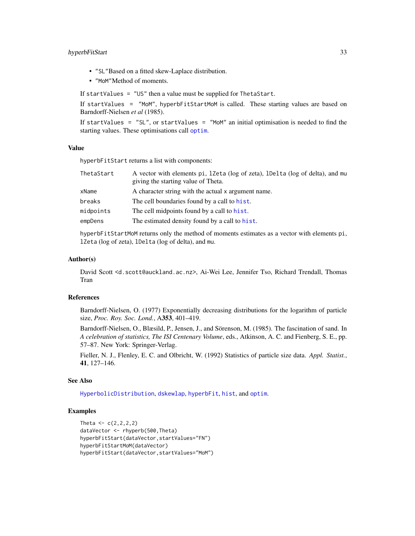## <span id="page-32-0"></span>hyperbFitStart 33

- "SL"Based on a fitted skew-Laplace distribution.
- "MoM"Method of moments.

If startValues = "US" then a value must be supplied for ThetaStart.

If startValues = "MoM", hyperbFitStartMoM is called. These starting values are based on Barndorff-Nielsen *et al* (1985).

If startValues =  $"SL"$ , or startValues =  $"MOM"$  an initial optimisation is needed to find the starting values. These [optim](#page-0-0)isations call optim.

#### Value

hyperbFitStart returns a list with components:

| ThetaStart | A vector with elements pi, 12eta (log of zeta), 1De1ta (log of delta), and mu |
|------------|-------------------------------------------------------------------------------|
|            | giving the starting value of Theta.                                           |
| xName      | A character string with the actual x argument name.                           |
| breaks     | The cell boundaries found by a call to hist.                                  |
| midpoints  | The cell midpoints found by a call to hist.                                   |
| empDens    | The estimated density found by a call to hist.                                |
|            |                                                                               |

hyperbFitStartMoM returns only the method of moments estimates as a vector with elements pi, lZeta (log of zeta), lDelta (log of delta), and mu.

#### Author(s)

David Scott <d.scott@auckland.ac.nz>, Ai-Wei Lee, Jennifer Tso, Richard Trendall, Thomas Tran

#### References

Barndorff-Nielsen, O. (1977) Exponentially decreasing distributions for the logarithm of particle size, *Proc. Roy. Soc. Lond.*, A353, 401–419.

Barndorff-Nielsen, O., Blæsild, P., Jensen, J., and Sörenson, M. (1985). The fascination of sand. In *A celebration of statistics, The ISI Centenary Volume*, eds., Atkinson, A. C. and Fienberg, S. E., pp. 57–87. New York: Springer-Verlag.

Fieller, N. J., Flenley, E. C. and Olbricht, W. (1992) Statistics of particle size data. *Appl. Statist.*, 41, 127–146.

#### See Also

[HyperbolicDistribution](#page-36-1), [dskewlap](#page-53-1), [hyperbFit](#page-28-1), [hist](#page-0-0), and [optim](#page-0-0).

```
Theta <-c(2, 2, 2, 2)dataVector <- rhyperb(500,Theta)
hyperbFitStart(dataVector,startValues="FN")
hyperbFitStartMoM(dataVector)
hyperbFitStart(dataVector,startValues="MoM")
```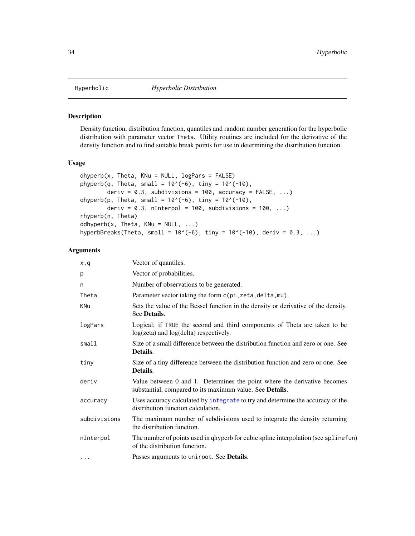<span id="page-33-0"></span>

## <span id="page-33-1"></span>Description

Density function, distribution function, quantiles and random number generation for the hyperbolic distribution with parameter vector Theta. Utility routines are included for the derivative of the density function and to find suitable break points for use in determining the distribution function.

#### Usage

```
dhyperb(x, Theta, KNu = NULL, logParts = FALSE)
phyperb(q, Theta, small = 10^{-6}), tiny = 10^{-6}(-10),
        deriv = 0.3, subdivisions = 100, accuracy = FALSE, ...)
qhyperb(p, Theta, small = 10^{-6}), tiny = 10^{-10},
        deriv = 0.3, nInterpol = 100, subdivisions = 100, \ldots)
rhyperb(n, Theta)
ddhyperb(x, Theta, KNu = NULL, \dots)
hyperbBreaks(Theta, small = 10^{\circ}(-6), tiny = 10^{\circ}(-10), deriv = 0.3, ...)
```
## Arguments

| x,q          | Vector of quantiles.                                                                                                                         |  |
|--------------|----------------------------------------------------------------------------------------------------------------------------------------------|--|
| p            | Vector of probabilities.                                                                                                                     |  |
| n            | Number of observations to be generated.                                                                                                      |  |
| Theta        | Parameter vector taking the form c(pi, zeta, delta, mu).                                                                                     |  |
| <b>KNu</b>   | Sets the value of the Bessel function in the density or derivative of the density.<br>See Details.                                           |  |
| logPars      | Logical; if TRUE the second and third components of Theta are taken to be<br>log(zeta) and log(delta) respectively.                          |  |
| small        | Size of a small difference between the distribution function and zero or one. See<br>Details.                                                |  |
| tiny         | Size of a tiny difference between the distribution function and zero or one. See<br>Details.                                                 |  |
| deriv        | Value between 0 and 1. Determines the point where the derivative becomes<br>substantial, compared to its maximum value. See <b>Details</b> . |  |
| accuracy     | Uses accuracy calculated by integrate to try and determine the accuracy of the<br>distribution function calculation.                         |  |
| subdivisions | The maximum number of subdivisions used to integrate the density returning<br>the distribution function.                                     |  |
| nInterpol    | The number of points used in qhyperb for cubic spline interpolation (see splinefun)<br>of the distribution function.                         |  |
| $\cdots$     | Passes arguments to uniroot. See <b>Details</b> .                                                                                            |  |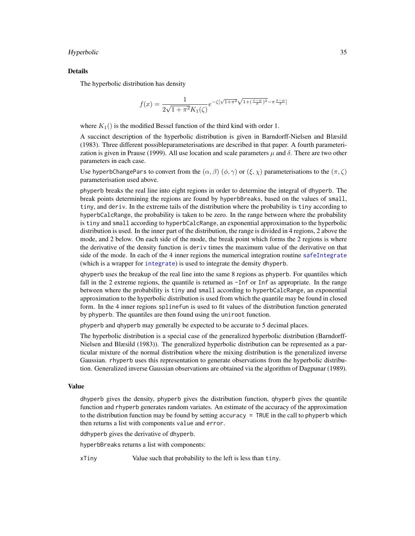#### <span id="page-34-0"></span>Hyperbolic 35

#### Details

The hyperbolic distribution has density

$$
f(x) = \frac{1}{2\sqrt{1 + \pi^2}K_1(\zeta)} e^{-\zeta[\sqrt{1 + \pi^2}\sqrt{1 + (\frac{x - \mu}{\delta})^2} - \pi \frac{x - \mu}{\delta}]}.
$$

where  $K_1()$  is the modified Bessel function of the third kind with order 1.

A succinct description of the hyperbolic distribution is given in Barndorff-Nielsen and Blæsild (1983). Three different possibleparameterisations are described in that paper. A fourth parameterization is given in Prause (1999). All use location and scale parameters  $\mu$  and  $\delta$ . There are two other parameters in each case.

Use hyperbChangePars to convert from the  $(\alpha, \beta)$   $(\phi, \gamma)$  or  $(\xi, \chi)$  parameterisations to the  $(\pi, \zeta)$ parameterisation used above.

phyperb breaks the real line into eight regions in order to determine the integral of dhyperb. The break points determining the regions are found by hyperbBreaks, based on the values of small, tiny, and deriv. In the extreme tails of the distribution where the probability is tiny according to hyperbCalcRange, the probability is taken to be zero. In the range between where the probability is tiny and small according to hyperbCalcRange, an exponential approximation to the hyperbolic distribution is used. In the inner part of the distribution, the range is divided in 4 regions, 2 above the mode, and 2 below. On each side of the mode, the break point which forms the 2 regions is where the derivative of the density function is deriv times the maximum value of the derivative on that side of the mode. In each of the 4 inner regions the numerical integration routine [safeIntegrate](#page-49-1) (which is a wrapper for [integrate](#page-0-0)) is used to integrate the density dhyperb.

qhyperb uses the breakup of the real line into the same 8 regions as phyperb. For quantiles which fall in the 2 extreme regions, the quantile is returned as -Inf or Inf as appropriate. In the range between where the probability is tiny and small according to hyperbCalcRange, an exponential approximation to the hyperbolic distribution is used from which the quantile may be found in closed form. In the 4 inner regions splinefun is used to fit values of the distribution function generated by phyperb. The quantiles are then found using the uniroot function.

phyperb and qhyperb may generally be expected to be accurate to 5 decimal places.

The hyperbolic distribution is a special case of the generalized hyperbolic distribution (Barndorff-Nielsen and Blæsild (1983)). The generalized hyperbolic distribution can be represented as a particular mixture of the normal distribution where the mixing distribution is the generalized inverse Gaussian. rhyperb uses this representation to generate observations from the hyperbolic distribution. Generalized inverse Gaussian observations are obtained via the algorithm of Dagpunar (1989).

## Value

dhyperb gives the density, phyperb gives the distribution function, qhyperb gives the quantile function and rhyperb generates random variates. An estimate of the accuracy of the approximation to the distribution function may be found by setting accuracy = TRUE in the call to phyperb which then returns a list with components value and error.

ddhyperb gives the derivative of dhyperb.

hyperbBreaks returns a list with components:

xTiny Value such that probability to the left is less than tiny.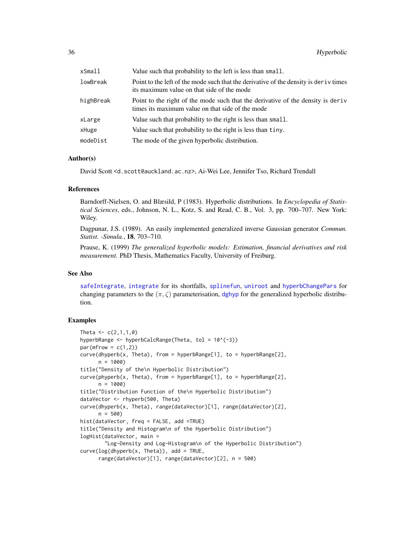<span id="page-35-0"></span>

| $x$ Small | Value such that probability to the left is less than small.                                                                           |
|-----------|---------------------------------------------------------------------------------------------------------------------------------------|
| lowBreak  | Point to the left of the mode such that the derivative of the density is deriv times<br>its maximum value on that side of the mode    |
| highBreak | Point to the right of the mode such that the derivative of the density is derived<br>times its maximum value on that side of the mode |
| xLarge    | Value such that probability to the right is less than small.                                                                          |
| xHuge     | Value such that probability to the right is less than tiny.                                                                           |
| modeDist  | The mode of the given hyperbolic distribution.                                                                                        |

#### Author(s)

David Scott <d.scott@auckland.ac.nz>, Ai-Wei Lee, Jennifer Tso, Richard Trendall

#### References

Barndorff-Nielsen, O. and Blæsild, P (1983). Hyperbolic distributions. In *Encyclopedia of Statistical Sciences*, eds., Johnson, N. L., Kotz, S. and Read, C. B., Vol. 3, pp. 700–707. New York: Wiley.

Dagpunar, J.S. (1989). An easily implemented generalized inverse Gaussian generator *Commun. Statist. -Simula.*, 18, 703–710.

Prause, K. (1999) *The generalized hyperbolic models: Estimation, financial derivatives and risk measurement.* PhD Thesis, Mathematics Faculty, University of Freiburg.

#### See Also

[safeIntegrate](#page-49-1), [integrate](#page-0-0) for its shortfalls, [splinefun](#page-0-0), [uniroot](#page-0-0) and [hyperbChangePars](#page-25-1) for changing parameters to the  $(\pi, \zeta)$  parameterisation, [dghyp](#page-7-1) for the generalized hyperbolic distribution.

```
Theta <-c(2,1,1,0)hyperbRange \leq- hyperbCalcRange(Theta, tol = 10^(-3))
par(mfrow = c(1,2))curve(dhyperb(x, Theta), from = hyperbRange[1], to = hyperbRange[2],
     n = 1000title("Density of the\n Hyperbolic Distribution")
curve(phyperb(x, Theta), from = hyperbRange[1], to = hyperbRange[2],
     n = 1000title("Distribution Function of the\n Hyperbolic Distribution")
dataVector <- rhyperb(500, Theta)
curve(dhyperb(x, Theta), range(dataVector)[1], range(dataVector)[2],
     n = 500hist(dataVector, freq = FALSE, add =TRUE)
title("Density and Histogram\n of the Hyperbolic Distribution")
logHist(dataVector, main =
        "Log-Density and Log-Histogram\n of the Hyperbolic Distribution")
curve(log(dhyperb(x, The <i>t</i>1)), add = TRUE,range(dataVector)[1], range(dataVector)[2], n = 500)
```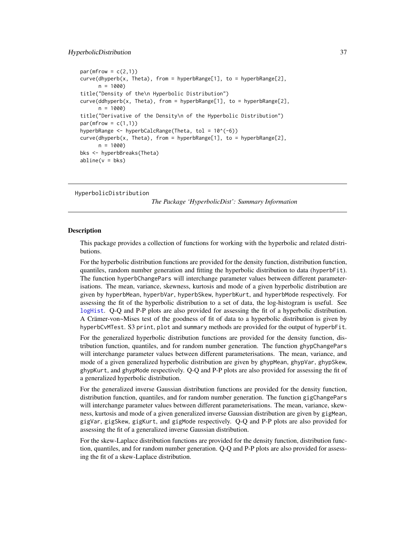#### <span id="page-36-0"></span>HyperbolicDistribution 37

```
par(mfrow = c(2,1))curve(dhyperb(x, Theta), from = hyperbRange[1], to = hyperbRange[2],
     n = 1000title("Density of the\n Hyperbolic Distribution")
curve(ddhyperb(x, Theta), from = hyperbRange[1], to = hyperbRange[2],
     n = 1000title("Derivative of the Density\n of the Hyperbolic Distribution")
par(mfrow = c(1,1))hyperbRange <- hyperbCalcRange(Theta, tol = 10^(-6))
curve(dhyperb(x, Theta), from = hyperbRange[1], to = hyperbRange[2],n = 1000bks <- hyperbBreaks(Theta)
abline(v = bks)
```
<span id="page-36-1"></span>HyperbolicDistribution

*The Package 'HyperbolicDist': Summary Information*

#### Description

This package provides a collection of functions for working with the hyperbolic and related distributions.

For the hyperbolic distribution functions are provided for the density function, distribution function, quantiles, random number generation and fitting the hyperbolic distribution to data (hyperbFit). The function hyperbChangePars will interchange parameter values between different parameterisations. The mean, variance, skewness, kurtosis and mode of a given hyperbolic distribution are given by hyperbMean, hyperbVar, hyperbSkew, hyperbKurt, and hyperbMode respectively. For assessing the fit of the hyperbolic distribution to a set of data, the log-histogram is useful. See [logHist](#page-40-1). Q-Q and P-P plots are also provided for assessing the fit of a hyperbolic distribution. A Crämer-von~Mises test of the goodness of fit of data to a hyperbolic distribution is given by hyperbCvMTest. S3 print, plot and summary methods are provided for the output of hyperbFit.

For the generalized hyperbolic distribution functions are provided for the density function, distribution function, quantiles, and for random number generation. The function ghypChangePars will interchange parameter values between different parameterisations. The mean, variance, and mode of a given generalized hyperbolic distribution are given by ghypMean, ghypVar, ghypSkew, ghypKurt, and ghypMode respectively. Q-Q and P-P plots are also provided for assessing the fit of a generalized hyperbolic distribution.

For the generalized inverse Gaussian distribution functions are provided for the density function, distribution function, quantiles, and for random number generation. The function gigChangePars will interchange parameter values between different parameterisations. The mean, variance, skewness, kurtosis and mode of a given generalized inverse Gaussian distribution are given by gigMean, gigVar, gigSkew, gigKurt, and gigMode respectively. Q-Q and P-P plots are also provided for assessing the fit of a generalized inverse Gaussian distribution.

For the skew-Laplace distribution functions are provided for the density function, distribution function, quantiles, and for random number generation. Q-Q and P-P plots are also provided for assessing the fit of a skew-Laplace distribution.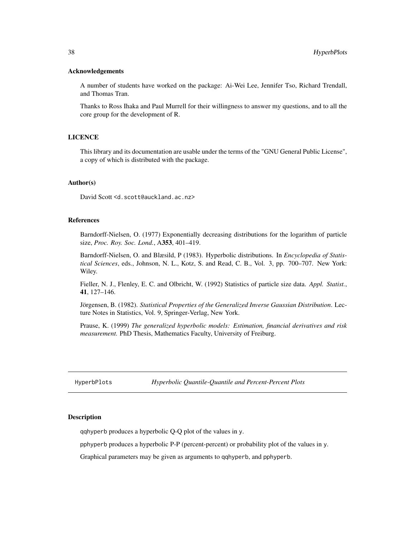#### <span id="page-37-0"></span>Acknowledgements

A number of students have worked on the package: Ai-Wei Lee, Jennifer Tso, Richard Trendall, and Thomas Tran.

Thanks to Ross Ihaka and Paul Murrell for their willingness to answer my questions, and to all the core group for the development of R.

#### LICENCE

This library and its documentation are usable under the terms of the "GNU General Public License", a copy of which is distributed with the package.

## Author(s)

David Scott <d.scott@auckland.ac.nz>

## References

Barndorff-Nielsen, O. (1977) Exponentially decreasing distributions for the logarithm of particle size, *Proc. Roy. Soc. Lond.*, A353, 401–419.

Barndorff-Nielsen, O. and Blæsild, P (1983). Hyperbolic distributions. In *Encyclopedia of Statistical Sciences*, eds., Johnson, N. L., Kotz, S. and Read, C. B., Vol. 3, pp. 700–707. New York: Wiley.

Fieller, N. J., Flenley, E. C. and Olbricht, W. (1992) Statistics of particle size data. *Appl. Statist.*, 41, 127–146.

Jörgensen, B. (1982). *Statistical Properties of the Generalized Inverse Gaussian Distribution*. Lecture Notes in Statistics, Vol. 9, Springer-Verlag, New York.

Prause, K. (1999) *The generalized hyperbolic models: Estimation, financial derivatives and risk measurement.* PhD Thesis, Mathematics Faculty, University of Freiburg.

HyperbPlots *Hyperbolic Quantile-Quantile and Percent-Percent Plots*

## <span id="page-37-1"></span>**Description**

qqhyperb produces a hyperbolic Q-Q plot of the values in y.

pphyperb produces a hyperbolic P-P (percent-percent) or probability plot of the values in y.

Graphical parameters may be given as arguments to qqhyperb, and pphyperb.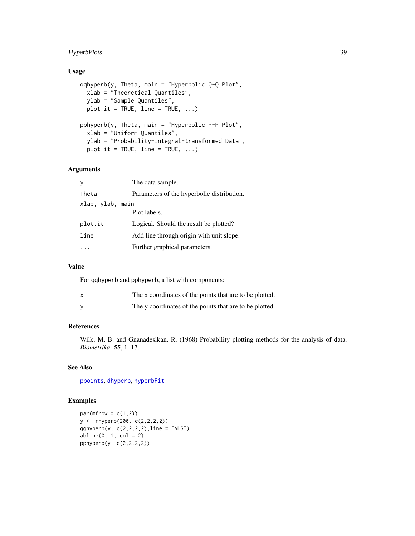## <span id="page-38-0"></span>HyperbPlots 39

## Usage

```
qqhyperb(y, Theta, main = "Hyperbolic Q-Q Plot",
  xlab = "Theoretical Quantiles",
  ylab = "Sample Quantiles",
 plot.it = TRUE, line = TRUE, \ldots)
pphyperb(y, Theta, main = "Hyperbolic P-P Plot",
  xlab = "Uniform Quantiles",
  ylab = "Probability-integral-transformed Data",
 plot.it = TRUE, line = TRUE, ...)
```
## Arguments

| y                | The data sample.                           |
|------------------|--------------------------------------------|
| Theta            | Parameters of the hyperbolic distribution. |
| xlab, ylab, main |                                            |
|                  | Plot labels.                               |
| plot.it          | Logical. Should the result be plotted?     |
| line             | Add line through origin with unit slope.   |
|                  | Further graphical parameters.              |

## Value

For qqhyperb and pphyperb, a list with components:

| The x coordinates of the points that are to be plotted. |
|---------------------------------------------------------|
| The y coordinates of the points that are to be plotted. |

## References

Wilk, M. B. and Gnanadesikan, R. (1968) Probability plotting methods for the analysis of data. *Biometrika*. 55, 1–17.

## See Also

[ppoints](#page-0-0), [dhyperb](#page-33-1), [hyperbFit](#page-28-1)

```
par(mfrow = c(1,2))y <- rhyperb(200, c(2,2,2,2))
qqhyperb(y, c(2,2,2,2), line = FALSE)abline(0, 1, col = 2)pphyperb(y, c(2,2,2,2))
```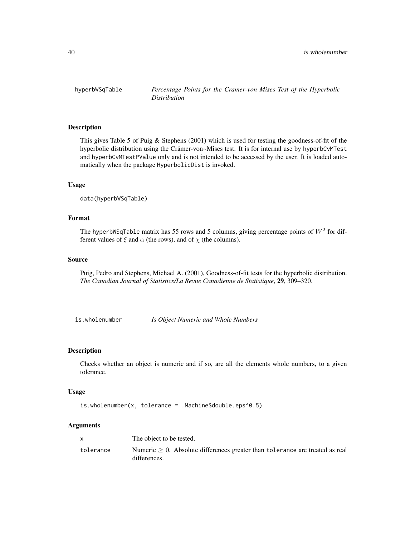<span id="page-39-0"></span>

## Description

This gives Table 5 of Puig & Stephens (2001) which is used for testing the goodness-of-fit of the hyperbolic distribution using the Crämer-von~Mises test. It is for internal use by hyperbCvMTest and hyperbCvMTestPValue only and is not intended to be accessed by the user. It is loaded automatically when the package HyperbolicDist is invoked.

#### Usage

```
data(hyperbWSqTable)
```
#### Format

The hyperbWSqTable matrix has 55 rows and 5 columns, giving percentage points of  $W^2$  for different values of  $\xi$  and  $\alpha$  (the rows), and of  $\chi$  (the columns).

#### Source

Puig, Pedro and Stephens, Michael A. (2001), Goodness-of-fit tests for the hyperbolic distribution. *The Canadian Journal of Statistics/La Revue Canadienne de Statistique*, 29, 309–320.

<span id="page-39-1"></span>is.wholenumber *Is Object Numeric and Whole Numbers*

## Description

Checks whether an object is numeric and if so, are all the elements whole numbers, to a given tolerance.

## Usage

```
is.wholenumber(x, tolerance = .Machine$double.eps^0.5)
```
#### Arguments

|           | The object to be tested.                                                                           |
|-----------|----------------------------------------------------------------------------------------------------|
| tolerance | Numeric $\geq 0$ . Absolute differences greater than tolerance are treated as real<br>differences. |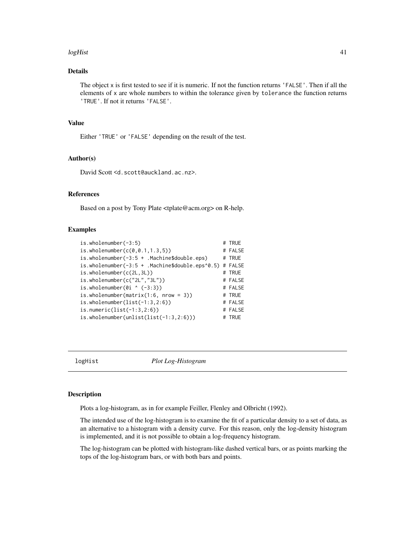#### <span id="page-40-0"></span> $logHist$  41

## Details

The object x is first tested to see if it is numeric. If not the function returns 'FALSE'. Then if all the elements of x are whole numbers to within the tolerance given by tolerance the function returns 'TRUE'. If not it returns 'FALSE'.

## Value

Either 'TRUE' or 'FALSE' depending on the result of the test.

#### Author(s)

David Scott <d.scott@auckland.ac.nz>.

## References

Based on a post by Tony Plate <tplate@acm.org> on R-help.

#### Examples

```
is.wholenumber(-3:5) # TRUE
is. who lenumber(c(0, 0.1, 1.3, 5)) # FALSE
is.wholenumber(-3:5 + .Machine$double.eps) # TRUE
is.wholenumber(-3:5 + .Machine$double.eps^0.5) # FALSE
is.wholenumber(c(2L,3L)) # TRUE
is.wholenumber(c("2L","3L")) # FALSE
is. who lenumber(0i ^ (-3:3)) # FALSE
is.wholenumber(matrix(1:6, nrow = 3)) \# TRUE
is.wholenumber(list(-1:3,2:6)) # FALSE
is.numeric(list(-1:3,2:6)) # FALSE<br>is.wholenumber(unlist(list(-1:3,2:6))) # TRUE
is.wholenumber(unlist(list(-1:3,2:6)))
```
<span id="page-40-1"></span>

logHist *Plot Log-Histogram*

## Description

Plots a log-histogram, as in for example Feiller, Flenley and Olbricht (1992).

The intended use of the log-histogram is to examine the fit of a particular density to a set of data, as an alternative to a histogram with a density curve. For this reason, only the log-density histogram is implemented, and it is not possible to obtain a log-frequency histogram.

The log-histogram can be plotted with histogram-like dashed vertical bars, or as points marking the tops of the log-histogram bars, or with both bars and points.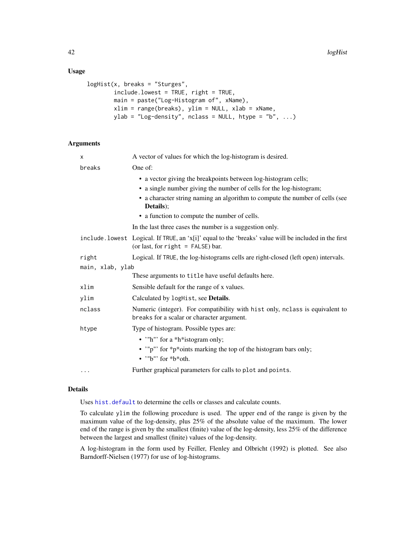## <span id="page-41-0"></span>Usage

```
logHist(x, breaks = "Sturges",
        include.lowest = TRUE, right = TRUE,
       main = paste("Log-Histogram of", xName),
       xlim = range(breaks), ylim = NULL, xlab = xName,
       ylab = "Log-density", nclass = NULL, htype = "b", ...)
```
## Arguments

| x                | A vector of values for which the log-histogram is desired.                                                                                   |
|------------------|----------------------------------------------------------------------------------------------------------------------------------------------|
| breaks           | One of:                                                                                                                                      |
|                  | • a vector giving the breakpoints between log-histogram cells;<br>• a single number giving the number of cells for the log-histogram;        |
|                  | • a character string naming an algorithm to compute the number of cells (see<br>Details:                                                     |
|                  | • a function to compute the number of cells.                                                                                                 |
|                  | In the last three cases the number is a suggestion only.                                                                                     |
|                  | include. lowest Logical. If TRUE, an 'x[i]' equal to the 'breaks' value will be included in the first<br>(or last, for right = $FALSE)$ bar. |
| right            | Logical. If TRUE, the log-histograms cells are right-closed (left open) intervals.                                                           |
| main, xlab, ylab |                                                                                                                                              |
|                  | These arguments to title have useful defaults here.                                                                                          |
| xlim             | Sensible default for the range of x values.                                                                                                  |
| ylim             | Calculated by logHist, see <b>Details</b> .                                                                                                  |
| nclass           | Numeric (integer). For compatibility with hist only, nclass is equivalent to<br>breaks for a scalar or character argument.                   |
| htype            | Type of histogram. Possible types are:                                                                                                       |
|                  | • "h" for a *h*istogram only;<br>• "p" for *p*oints marking the top of the histogram bars only;<br>• $"b"$ for $*b*$ oth.                    |
| $\cdots$         | Further graphical parameters for calls to plot and points.                                                                                   |

#### Details

Uses [hist.default](#page-0-0) to determine the cells or classes and calculate counts.

To calculate ylim the following procedure is used. The upper end of the range is given by the maximum value of the log-density, plus 25% of the absolute value of the maximum. The lower end of the range is given by the smallest (finite) value of the log-density, less 25% of the difference between the largest and smallest (finite) values of the log-density.

A log-histogram in the form used by Feiller, Flenley and Olbricht (1992) is plotted. See also Barndorff-Nielsen (1977) for use of log-histograms.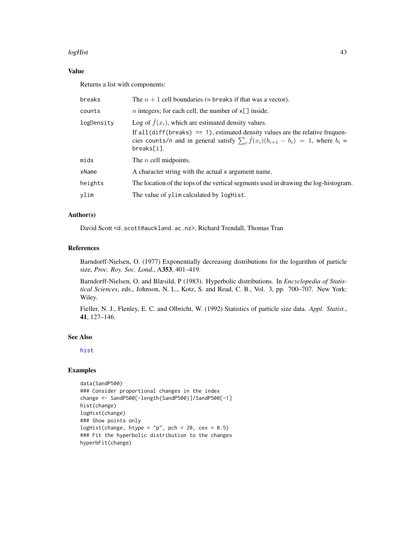#### <span id="page-42-0"></span>logHist 43

## Value

Returns a list with components:

| breaks     | The $n+1$ cell boundaries (= breaks if that was a vector).                                                                                                                                                                                                                 |
|------------|----------------------------------------------------------------------------------------------------------------------------------------------------------------------------------------------------------------------------------------------------------------------------|
| counts     | <i>n</i> integers; for each cell, the number of $x[\ ]$ inside.                                                                                                                                                                                                            |
| logDensity | Log of $\hat{f}(x_i)$ , which are estimated density values.<br>If all $\text{diff}(\text{breaks}) = 1$ , estimated density values are the relative frequen-<br>cies counts/n and in general satisfy $\sum_i \hat{f}(x_i)(b_{i+1} - b_i) = 1$ , where $b_i =$<br>breaks[i]. |
| mids       | The $n$ cell midpoints.                                                                                                                                                                                                                                                    |
| xName      | A character string with the actual x argument name.                                                                                                                                                                                                                        |
| heights    | The location of the tops of the vertical segments used in drawing the log-histogram.                                                                                                                                                                                       |
| ylim       | The value of ylim calculated by logHist.                                                                                                                                                                                                                                   |

## Author(s)

David Scott <d.scott@auckland.ac.nz>, Richard Trendall, Thomas Tran

#### References

Barndorff-Nielsen, O. (1977) Exponentially decreasing distributions for the logarithm of particle size, *Proc. Roy. Soc. Lond.*, A353, 401–419.

Barndorff-Nielsen, O. and Blæsild, P (1983). Hyperbolic distributions. In *Encyclopedia of Statistical Sciences*, eds., Johnson, N. L., Kotz, S. and Read, C. B., Vol. 3, pp. 700–707. New York: Wiley.

Fieller, N. J., Flenley, E. C. and Olbricht, W. (1992) Statistics of particle size data. *Appl. Statist.*, 41, 127–146.

## See Also

[hist](#page-0-0)

```
data(SandP500)
### Consider proportional changes in the index
change <- SandP500[-length(SandP500)]/SandP500[-1]
hist(change)
logHist(change)
### Show points only
logHist(change, htype = "p", pch = 20, cex = 0.5)
### Fit the hyperbolic distribution to the changes
hyperbFit(change)
```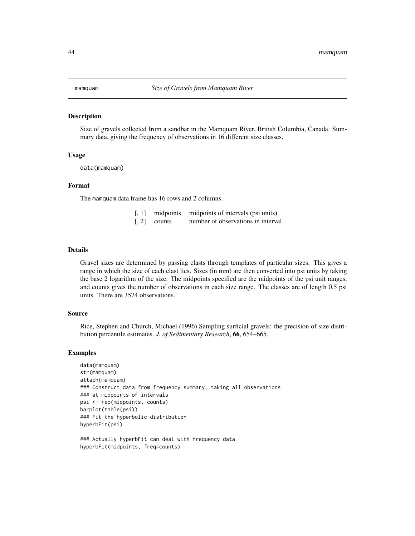#### <span id="page-43-0"></span>Description

Size of gravels collected from a sandbar in the Mamquam River, British Columbia, Canada. Summary data, giving the frequency of observations in 16 different size classes.

#### Usage

data(mamquam)

#### Format

The mamquam data frame has 16 rows and 2 columns.

- [, 1] midpoints midpoints of intervals (psi units)
- [, 2] counts number of observations in interval

#### Details

Gravel sizes are determined by passing clasts through templates of particular sizes. This gives a range in which the size of each clast lies. Sizes (in mm) are then converted into psi units by taking the base 2 logarithm of the size. The midpoints specified are the midpoints of the psi unit ranges, and counts gives the number of observations in each size range. The classes are of length 0.5 psi units. There are 3574 observations.

## Source

Rice, Stephen and Church, Michael (1996) Sampling surficial gravels: the precision of size distribution percentile estimates. *J. of Sedimentary Research*, 66, 654–665.

#### Examples

```
data(mamquam)
str(mamquam)
attach(mamquam)
### Construct data from frequency summary, taking all observations
### at midpoints of intervals
psi <- rep(midpoints, counts)
barplot(table(psi))
### Fit the hyperbolic distribution
hyperbFit(psi)
```
### Actually hyperbFit can deal with frequency data hyperbFit(midpoints, freq=counts)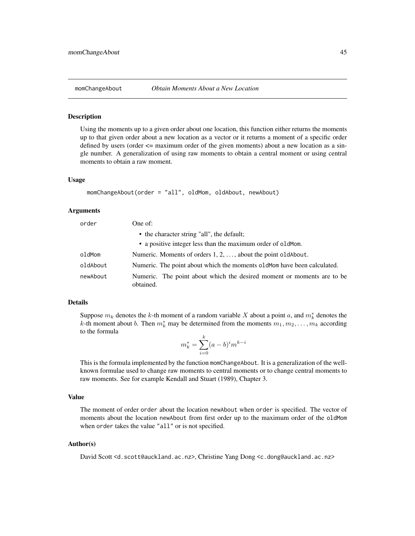#### <span id="page-44-1"></span><span id="page-44-0"></span>Description

Using the moments up to a given order about one location, this function either returns the moments up to that given order about a new location as a vector or it returns a moment of a specific order defined by users (order  $\leq$  maximum order of the given moments) about a new location as a single number. A generalization of using raw moments to obtain a central moment or using central moments to obtain a raw moment.

#### Usage

```
momChangeAbout(order = "all", oldMom, oldAbout, newAbout)
```
#### Arguments

| order    | One of:                                                                             |
|----------|-------------------------------------------------------------------------------------|
|          | • the character string "all", the default;                                          |
|          | • a positive integer less than the maximum order of oldMom.                         |
| oldMom   | Numeric. Moments of orders $1, 2, \ldots$ , about the point old About.              |
| oldAbout | Numeric. The point about which the moments oldMom have been calculated.             |
| newAbout | Numeric. The point about which the desired moment or moments are to be<br>obtained. |

## Details

Suppose  $m_k$  denotes the k-th moment of a random variable X about a point a, and  $m_k^*$  denotes the k-th moment about b. Then  $m_k^*$  may be determined from the moments  $m_1, m_2, \ldots, m_k$  according to the formula

$$
m_k^* = \sum_{i=0}^k (a-b)^i m^{k-i}
$$

This is the formula implemented by the function momChangeAbout. It is a generalization of the wellknown formulae used to change raw moments to central moments or to change central moments to raw moments. See for example Kendall and Stuart (1989), Chapter 3.

#### Value

The moment of order order about the location newAbout when order is specified. The vector of moments about the location newAbout from first order up to the maximum order of the oldMom when order takes the value "all" or is not specified.

#### Author(s)

David Scott <d.scott@auckland.ac.nz>, Christine Yang Dong <c.dong@auckland.ac.nz>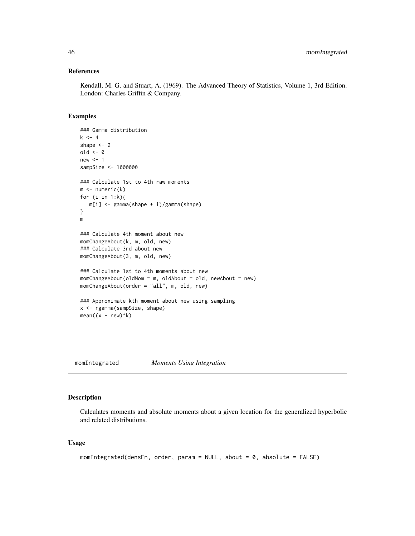#### <span id="page-45-0"></span>References

Kendall, M. G. and Stuart, A. (1969). The Advanced Theory of Statistics, Volume 1, 3rd Edition. London: Charles Griffin & Company.

## Examples

```
### Gamma distribution
k \le -4shape <-2old <- 0
new < - 1sampSize <- 1000000
### Calculate 1st to 4th raw moments
m \leftarrow numeric(k)
for (i in 1:k){
  m[i] <- gamma(shape + i)/gamma(shape)
}
m
### Calculate 4th moment about new
momChangeAbout(k, m, old, new)
### Calculate 3rd about new
momChangeAbout(3, m, old, new)
### Calculate 1st to 4th moments about new
momChangeAbout(oldMom = m, oldAbout = old, newAbout = new)
momChangeAbout(order = "all", m, old, new)
### Approximate kth moment about new using sampling
x <- rgamma(sampSize, shape)
mean((x - new)^{k})
```
<span id="page-45-1"></span>momIntegrated *Moments Using Integration*

## Description

Calculates moments and absolute moments about a given location for the generalized hyperbolic and related distributions.

#### Usage

```
momIntegrated(densFn, order, param = NULL, about = 0, absolute = FALSE)
```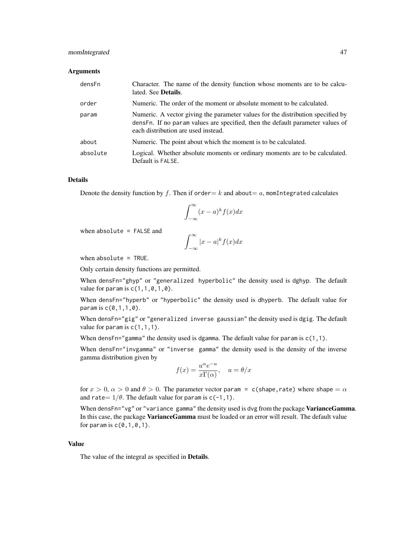## momIntegrated 47

#### Arguments

| densFn   | Character. The name of the density function whose moments are to be calcu-<br>lated. See <b>Details</b> .                                                                                                |
|----------|----------------------------------------------------------------------------------------------------------------------------------------------------------------------------------------------------------|
| order    | Numeric. The order of the moment or absolute moment to be calculated.                                                                                                                                    |
| param    | Numeric. A vector giving the parameter values for the distribution specified by<br>densFn. If no param values are specified, then the default parameter values of<br>each distribution are used instead. |
| about    | Numeric. The point about which the moment is to be calculated.                                                                                                                                           |
| absolute | Logical. Whether absolute moments or ordinary moments are to be calculated.<br>Default is FALSE.                                                                                                         |

#### Details

Denote the density function by f. Then if order = k and about = a, momIntegrated calculates

$$
\int_{-\infty}^{\infty} (x-a)^k f(x) dx
$$

when absolute = FALSE and

$$
\int_{-\infty}^{\infty} |x - a|^k f(x) dx
$$

when absolute  $=$  TRUE.

Only certain density functions are permitted.

When densFn="ghyp" or "generalized hyperbolic" the density used is dghyp. The default value for param is  $c(1,1,0,1,0)$ .

When densFn="hyperb" or "hyperbolic" the density used is dhyperb. The default value for param is c(0,1,1,0).

When densFn="gig" or "generalized inverse gaussian" the density used is dgig. The default value for param is  $c(1,1,1)$ .

When densFn="gamma" the density used is dgamma. The default value for param is  $c(1,1)$ .

When densFn="invgamma" or "inverse gamma" the density used is the density of the inverse gamma distribution given by

$$
f(x) = \frac{u^{\alpha}e^{-u}}{x\Gamma(\alpha)}, \quad u = \theta/x
$$

for  $x > 0$ ,  $\alpha > 0$  and  $\theta > 0$ . The parameter vector param = c(shape, rate) where shape =  $\alpha$ and rate =  $1/\theta$ . The default value for param is c(-1,1).

When densFn="vg" or "variance gamma" the density used is dvg from the package VarianceGamma. In this case, the package VarianceGamma must be loaded or an error will result. The default value for param is  $c(0,1,0,1)$ .

## Value

The value of the integral as specified in Details.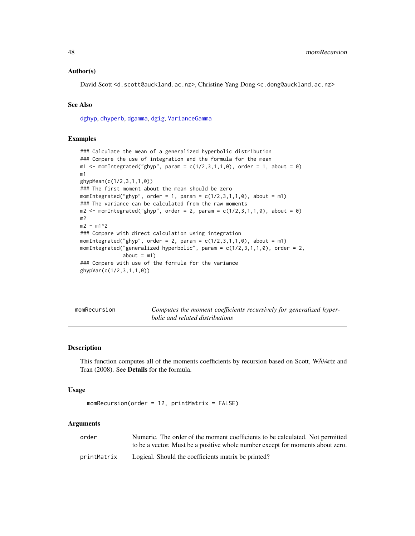#### <span id="page-47-0"></span>Author(s)

David Scott <d.scott@auckland.ac.nz>, Christine Yang Dong <c.dong@auckland.ac.nz>

## See Also

[dghyp](#page-7-1), [dhyperb](#page-33-1), [dgamma](#page-0-0), [dgig](#page-4-1), [VarianceGamma](#page-0-0)

## Examples

```
### Calculate the mean of a generalized hyperbolic distribution
### Compare the use of integration and the formula for the mean
m1 <- momIntegrated("ghyp", param = c(1/2,3,1,1,0), order = 1, about = 0)
m1
ghypMean(c(1/2,3,1,1,0))
### The first moment about the mean should be zero
momIntegrated("ghyp", order = 1, param = c(1/2,3,1,1,0), about = m1)
### The variance can be calculated from the raw moments
m2 \le m momIntegrated("ghyp", order = 2, param = c(1/2,3,1,1,0), about = 0)
m2
m2 - m1^2### Compare with direct calculation using integration
momIntegrated("ghyp", order = 2, param = c(1/2,3,1,1,0), about = m1)
momIntegrated("generalized hyperbolic", param = c(1/2,3,1,1,0), order = 2,
              about = m1)### Compare with use of the formula for the variance
ghypVar(c(1/2,3,1,1,0))
```

|  | momRecursion |
|--|--------------|
|  |              |
|  |              |
|  |              |

Computes the moment coefficients recursively for generalized hyper*bolic and related distributions*

#### Description

This function computes all of the moments coefficients by recursion based on Scott,  $W\tilde{A}^{1/4}$ rtz and Tran (2008). See Details for the formula.

#### Usage

```
momRecursion(order = 12, printMatrix = FALSE)
```
## Arguments

| order       | Numeric. The order of the moment coefficients to be calculated. Not permitted  |
|-------------|--------------------------------------------------------------------------------|
|             | to be a vector. Must be a positive whole number except for moments about zero. |
| printMatrix | Logical. Should the coefficients matrix be printed?                            |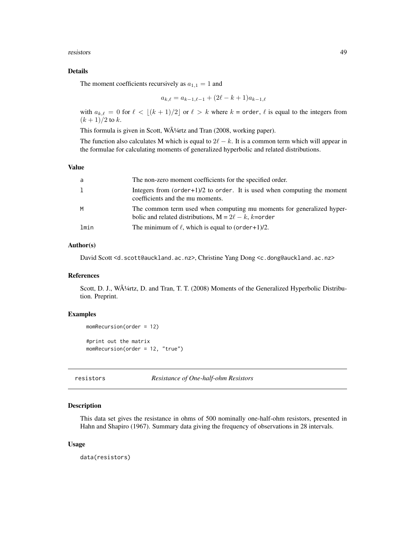<span id="page-48-0"></span>resistors 49

## Details

The moment coefficients recursively as  $a_{1,1} = 1$  and

$$
a_{k,\ell} = a_{k-1,\ell-1} + (2\ell - k + 1)a_{k-1,\ell}
$$

with  $a_{k,\ell} = 0$  for  $\ell < \lfloor (k + 1)/2 \rfloor$  or  $\ell > k$  where  $k =$  order,  $\ell$  is equal to the integers from  $(k + 1)/2$  to k.

This formula is given in Scott, WA<sup>1</sup>/4rtz and Tran (2008, working paper).

The function also calculates M which is equal to  $2\ell - k$ . It is a common term which will appear in the formulae for calculating moments of generalized hyperbolic and related distributions.

## Value

| a    | The non-zero moment coefficients for the specified order.                                                                           |
|------|-------------------------------------------------------------------------------------------------------------------------------------|
| 1    | Integers from $(order+1)/2$ to order. It is used when computing the moment<br>coefficients and the mu moments.                      |
| M    | The common term used when computing mu moments for generalized hyper-<br>bolic and related distributions, $M = 2\ell - k$ , k=order |
| lmin | The minimum of $\ell$ , which is equal to (order+1)/2.                                                                              |

## Author(s)

David Scott <d.scott@auckland.ac.nz>, Christine Yang Dong <c.dong@auckland.ac.nz>

## References

Scott, D. J., WA<sup>1</sup>/4rtz, D. and Tran, T. T. (2008) Moments of the Generalized Hyperbolic Distribution. Preprint.

## Examples

```
momRecursion(order = 12)
#print out the matrix
momRecursion(order = 12, "true")
```
resistors *Resistance of One-half-ohm Resistors*

## Description

This data set gives the resistance in ohms of 500 nominally one-half-ohm resistors, presented in Hahn and Shapiro (1967). Summary data giving the frequency of observations in 28 intervals.

#### Usage

data(resistors)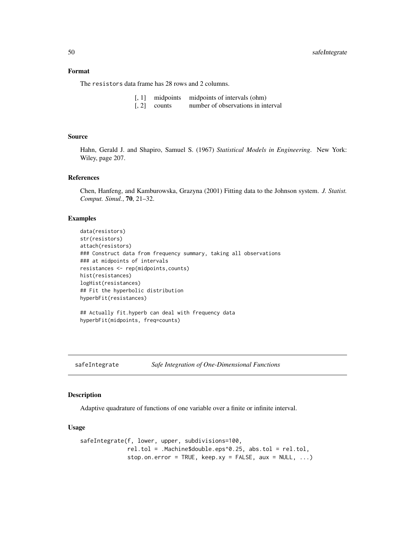## <span id="page-49-0"></span>Format

The resistors data frame has 28 rows and 2 columns.

| [, 1] midpoints midpoints of intervals (ohm) |  |
|----------------------------------------------|--|
|----------------------------------------------|--|

[, 2] counts number of observations in interval

#### Source

Hahn, Gerald J. and Shapiro, Samuel S. (1967) *Statistical Models in Engineering*. New York: Wiley, page 207.

## References

Chen, Hanfeng, and Kamburowska, Grazyna (2001) Fitting data to the Johnson system. *J. Statist. Comput. Simul.*, 70, 21–32.

#### Examples

```
data(resistors)
str(resistors)
attach(resistors)
### Construct data from frequency summary, taking all observations
### at midpoints of intervals
resistances <- rep(midpoints,counts)
hist(resistances)
logHist(resistances)
## Fit the hyperbolic distribution
hyperbFit(resistances)
```
## Actually fit.hyperb can deal with frequency data hyperbFit(midpoints, freq=counts)

<span id="page-49-1"></span>safeIntegrate *Safe Integration of One-Dimensional Functions*

#### Description

Adaptive quadrature of functions of one variable over a finite or infinite interval.

## Usage

```
safeIntegrate(f, lower, upper, subdivisions=100,
             rel.tol = .Machine$double.eps^0.25, abs.tol = rel.tol,
             stop.on.error = TRUE, keep.xy = FALSE, aux = NULL, ...)
```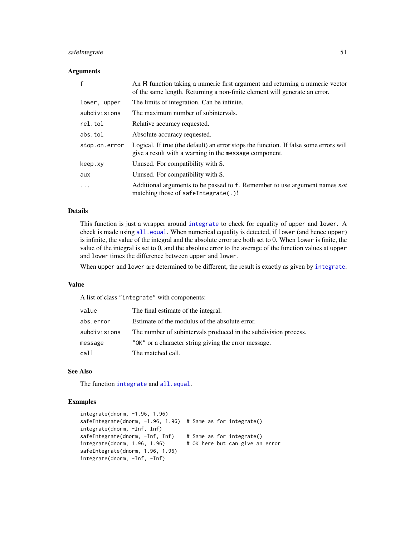## <span id="page-50-0"></span>safeIntegrate 51

#### **Arguments**

| $\mathsf{f}$  | An R function taking a numeric first argument and returning a numeric vector<br>of the same length. Returning a non-finite element will generate an error. |
|---------------|------------------------------------------------------------------------------------------------------------------------------------------------------------|
| lower, upper  | The limits of integration. Can be infinite.                                                                                                                |
| subdivisions  | The maximum number of subintervals.                                                                                                                        |
| rel.tol       | Relative accuracy requested.                                                                                                                               |
| abs.tol       | Absolute accuracy requested.                                                                                                                               |
| stop.on.error | Logical. If true (the default) an error stops the function. If false some errors will<br>give a result with a warning in the message component.            |
| keep.xy       | Unused. For compatibility with S.                                                                                                                          |
| aux           | Unused. For compatibility with S.                                                                                                                          |
| .             | Additional arguments to be passed to f. Remember to use argument names not<br>matching those of safeIntegrate(.)!                                          |

#### Details

This function is just a wrapper around [integrate](#page-0-0) to check for equality of upper and lower. A check is made using  $all$ . equal. When numerical equality is detected, if lower (and hence upper) is infinite, the value of the integral and the absolute error are both set to 0. When lower is finite, the value of the integral is set to 0, and the absolute error to the average of the function values at upper and lower times the difference between upper and lower.

When upper and lower are determined to be different, the result is exactly as given by [integrate](#page-0-0).

## Value

A list of class "integrate" with components:

| value        | The final estimate of the integral.                             |
|--------------|-----------------------------------------------------------------|
| abs.error    | Estimate of the modulus of the absolute error.                  |
| subdivisions | The number of subintervals produced in the subdivision process. |
| message      | "OK" or a character string giving the error message.            |
| call         | The matched call.                                               |

#### See Also

The function [integrate](#page-0-0) and [all.equal](#page-0-0).

```
integrate(dnorm, -1.96, 1.96)
safeIntegrate(dnorm, -1.96, 1.96) # Same as for integrate()
integrate(dnorm, -Inf, Inf)
safeIntegrate(dnorm, -Inf, Inf) # Same as for integrate()
integrate(dnorm, 1.96, 1.96) # OK here but can give an error
safeIntegrate(dnorm, 1.96, 1.96)
integrate(dnorm, -Inf, -Inf)
```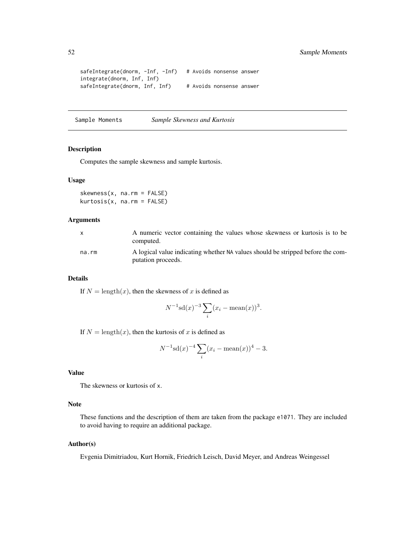```
safeIntegrate(dnorm, -Inf, -Inf) # Avoids nonsense answer
integrate(dnorm, Inf, Inf)
safeIntegrate(dnorm, Inf, Inf) # Avoids nonsense answer
```
Sample Moments *Sample Skewness and Kurtosis*

## Description

Computes the sample skewness and sample kurtosis.

#### Usage

skewness(x, na.rm = FALSE) kurtosis(x, na.rm = FALSE)

## Arguments

| X     | A numeric vector containing the values whose skewness or kurtosis is to be<br>computed.               |
|-------|-------------------------------------------------------------------------------------------------------|
| na.rm | A logical value indicating whether NA values should be stripped before the com-<br>putation proceeds. |

#### Details

If  $N = \text{length}(x)$ , then the skewness of x is defined as

$$
N^{-1}\mathrm{sd}(x)^{-3}\sum_{i}(x_i - \mathrm{mean}(x))^3.
$$

If  $N = \text{length}(x)$ , then the kurtosis of x is defined as

$$
N^{-1}\mathrm{sd}(x)^{-4} \sum_{i} (x_i - \mathrm{mean}(x))^4 - 3.
$$

## Value

The skewness or kurtosis of x.

## Note

These functions and the description of them are taken from the package e1071. They are included to avoid having to require an additional package.

## Author(s)

Evgenia Dimitriadou, Kurt Hornik, Friedrich Leisch, David Meyer, and Andreas Weingessel

<span id="page-51-0"></span>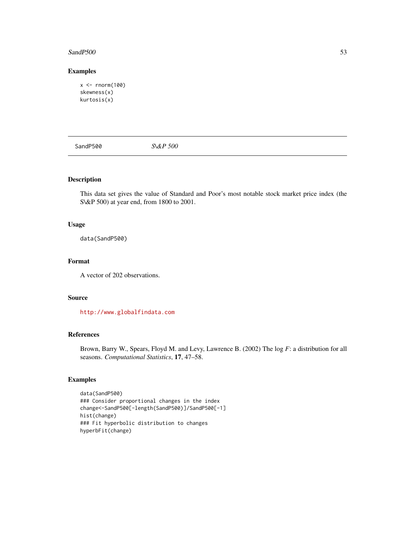#### <span id="page-52-0"></span> $S$ andP500 53

## Examples

```
x <- rnorm(100)
skewness(x)
kurtosis(x)
```
SandP500 *S\&P 500*

## Description

This data set gives the value of Standard and Poor's most notable stock market price index (the S\&P 500) at year end, from 1800 to 2001.

## Usage

data(SandP500)

## Format

A vector of 202 observations.

## Source

<http://www.globalfindata.com>

## References

Brown, Barry W., Spears, Floyd M. and Levy, Lawrence B. (2002) The log *F*: a distribution for all seasons. *Computational Statistics*, 17, 47–58.

```
data(SandP500)
### Consider proportional changes in the index
change<-SandP500[-length(SandP500)]/SandP500[-1]
hist(change)
### Fit hyperbolic distribution to changes
hyperbFit(change)
```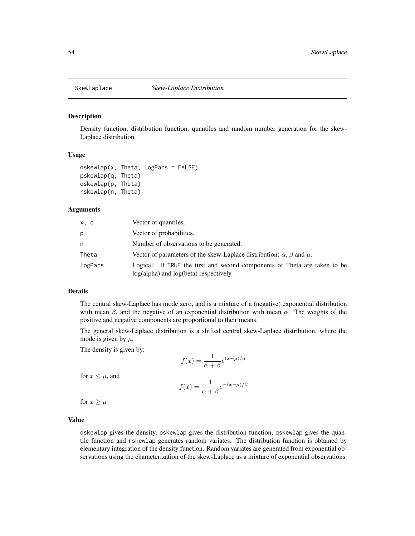<span id="page-53-0"></span>

#### <span id="page-53-1"></span>**Description**

Density function, distribution function, quantiles and random number generation for the skew-Laplace distribution.

#### Usage

```
dskewlap(x, Theta, logPars = FALSE)
pskewlap(q, Theta)
qskewlap(p, Theta)
rskewlap(n, Theta)
```
#### **Arguments**

| x, q    | Vector of quantiles.                                                                                                |  |
|---------|---------------------------------------------------------------------------------------------------------------------|--|
| р       | Vector of probabilities.                                                                                            |  |
| n       | Number of observations to be generated.                                                                             |  |
| Theta   | Vector of parameters of the skew-Laplace distribution: $\alpha$ , $\beta$ and $\mu$ .                               |  |
| logPars | Logical. If TRUE the first and second components of Theta are taken to be<br>log(alpha) and log(beta) respectively. |  |

### Details

The central skew-Laplace has mode zero, and is a mixture of a (negative) exponential distribution with mean  $\beta$ , and the negative of an exponential distribution with mean  $\alpha$ . The weights of the positive and negative components are proportional to their means.

The general skew-Laplace distribution is a shifted central skew-Laplace distribution, where the mode is given by  $\mu$ .

The density is given by:

$$
f(x) = \frac{1}{\alpha + \beta} e^{(x - \mu)/\alpha}
$$

for  $x \leq \mu$ , and

$$
f(x) = \frac{1}{\alpha + \beta} e^{-(x - \mu)/\beta}
$$

for  $x \geq \mu$ 

#### Value

dskewlap gives the density, pskewlap gives the distribution function, qskewlap gives the quantile function and rskewlap generates random variates. The distribution function is obtained by elementary integration of the density function. Random variates are generated from exponential observations using the characterization of the skew-Laplace as a mixture of exponential observations.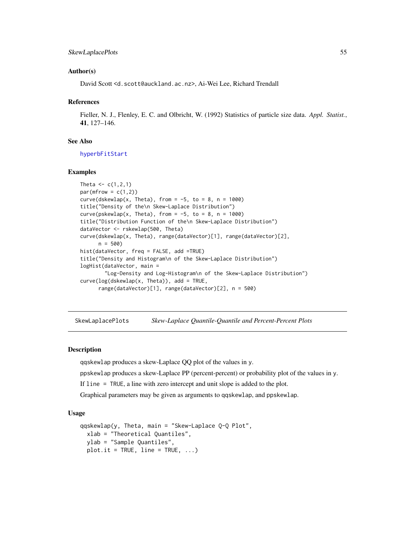## <span id="page-54-0"></span>SkewLaplacePlots 55

#### Author(s)

David Scott <d.scott@auckland.ac.nz>, Ai-Wei Lee, Richard Trendall

#### References

Fieller, N. J., Flenley, E. C. and Olbricht, W. (1992) Statistics of particle size data. *Appl. Statist.*, 41, 127–146.

## See Also

[hyperbFitStart](#page-31-1)

#### Examples

```
Theta <-c(1,2,1)par(mfrow = c(1,2))curve(dskewlap(x, Theta), from = -5, to = 8, n = 1000)
title("Density of the\n Skew-Laplace Distribution")
curve(pskewlap(x, Theta), from = -5, to = 8, n = 1000)
title("Distribution Function of the\n Skew-Laplace Distribution")
dataVector <- rskewlap(500, Theta)
curve(dskewlap(x, Theta), range(dataVector)[1], range(dataVector)[2],
      n = 500hist(dataVector, freq = FALSE, add =TRUE)
title("Density and Histogram\n of the Skew-Laplace Distribution")
logHist(dataVector, main =
        "Log-Density and Log-Histogram\n of the Skew-Laplace Distribution")
curve(log(dskewlap(x, Theta)), add = TRUE,
      range(dataVector)[1], range(dataVector)[2], n = 500)
```
SkewLaplacePlots *Skew-Laplace Quantile-Quantile and Percent-Percent Plots*

#### **Description**

qqskewlap produces a skew-Laplace QQ plot of the values in y.

ppskewlap produces a skew-Laplace PP (percent-percent) or probability plot of the values in y.

If line = TRUE, a line with zero intercept and unit slope is added to the plot.

Graphical parameters may be given as arguments to qqskewlap, and ppskewlap.

#### Usage

```
qqskewlap(y, Theta, main = "Skew-Laplace Q-Q Plot",
  xlab = "Theoretical Quantiles",
 ylab = "Sample Quantiles",
 plot.it = TRUE, line = TRUE, ...)
```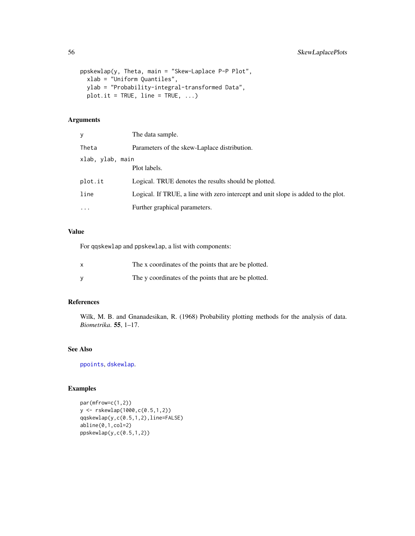```
ppskewlap(y, Theta, main = "Skew-Laplace P-P Plot",
 xlab = "Uniform Quantiles",
 ylab = "Probability-integral-transformed Data",
 plot.it = TRUE, line = TRUE, ...)
```
## Arguments

| V                | The data sample.                                                                  |
|------------------|-----------------------------------------------------------------------------------|
| Theta            | Parameters of the skew-Laplace distribution.                                      |
| xlab, ylab, main | Plot labels.                                                                      |
| plot.it          | Logical. TRUE denotes the results should be plotted.                              |
| line             | Logical. If TRUE, a line with zero intercept and unit slope is added to the plot. |
| $\ddotsc$        | Further graphical parameters.                                                     |

## Value

For qqskewlap and ppskewlap, a list with components:

| $\boldsymbol{\mathsf{x}}$ | The x coordinates of the points that are be plotted. |
|---------------------------|------------------------------------------------------|
|                           | The y coordinates of the points that are be plotted. |

## References

Wilk, M. B. and Gnanadesikan, R. (1968) Probability plotting methods for the analysis of data. *Biometrika*. 55, 1–17.

## See Also

[ppoints](#page-0-0), [dskewlap](#page-53-1).

```
par(mfrow=c(1,2))
y <- rskewlap(1000,c(0.5,1,2))
qqskewlap(y,c(0.5,1,2),line=FALSE)
abline(0,1,col=2)
ppskewlap(y,c(0.5,1,2))
```
<span id="page-55-0"></span>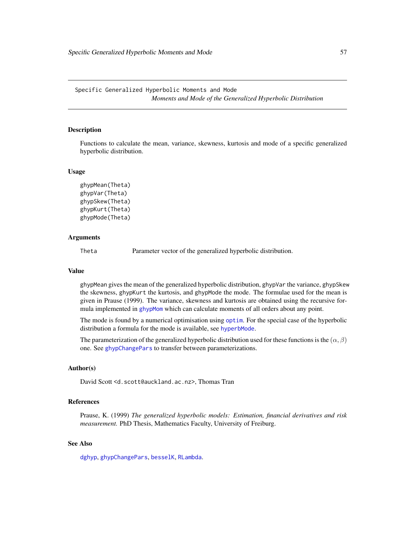<span id="page-56-0"></span>Specific Generalized Hyperbolic Moments and Mode *Moments and Mode of the Generalized Hyperbolic Distribution*

#### <span id="page-56-1"></span>Description

Functions to calculate the mean, variance, skewness, kurtosis and mode of a specific generalized hyperbolic distribution.

#### Usage

```
ghypMean(Theta)
ghypVar(Theta)
ghypSkew(Theta)
ghypKurt(Theta)
ghypMode(Theta)
```
## Arguments

Theta Parameter vector of the generalized hyperbolic distribution.

#### Value

ghypMean gives the mean of the generalized hyperbolic distribution, ghypVar the variance, ghypSkew the skewness, ghypKurt the kurtosis, and ghypMode the mode. The formulae used for the mean is given in Prause (1999). The variance, skewness and kurtosis are obtained using the recursive formula implemented in [ghypMom](#page-14-1) which can calculate moments of all orders about any point.

The mode is found by a numerical optimisation using [optim](#page-0-0). For the special case of the hyperbolic distribution a formula for the mode is available, see [hyperbMode](#page-58-1).

The parameterization of the generalized hyperbolic distribution used for these functions is the  $(\alpha, \beta)$ one. See [ghypChangePars](#page-13-1) to transfer between parameterizations.

#### Author(s)

David Scott <d.scott@auckland.ac.nz>, Thomas Tran

## References

Prause, K. (1999) *The generalized hyperbolic models: Estimation, financial derivatives and risk measurement.* PhD Thesis, Mathematics Faculty, University of Freiburg.

## See Also

[dghyp](#page-7-1), [ghypChangePars](#page-13-1), [besselK](#page-0-0), [RLambda](#page-3-1).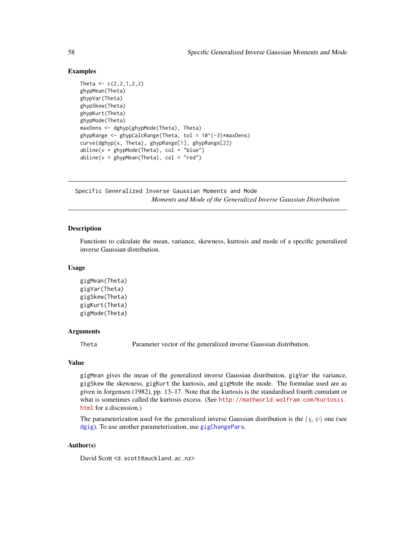## Examples

```
Theta <-c(2, 2, 1, 2, 2)ghypMean(Theta)
ghypVar(Theta)
ghypSkew(Theta)
ghypKurt(Theta)
ghypMode(Theta)
maxDens <- dghyp(ghypMode(Theta), Theta)
ghypRange \leq ghypCalcRange(Theta, tol = 10^(-3)*maxDens)
curve(dghyp(x, Theta), ghypRange[1], ghypRange[2])
abline(v = ghypMode(Theta), col = "blue")abline(v = ghypMean(Theta), col = "red")
```
Specific Generalized Inverse Gaussian Moments and Mode *Moments and Mode of the Generalized Inverse Gaussian Distribution*

#### <span id="page-57-1"></span>Description

Functions to calculate the mean, variance, skewness, kurtosis and mode of a specific generalized inverse Gaussian distribution.

#### Usage

```
gigMean(Theta)
gigVar(Theta)
gigSkew(Theta)
gigKurt(Theta)
gigMode(Theta)
```
#### Arguments

Theta Parameter vector of the generalized inverse Gaussian distribution.

#### Value

gigMean gives the mean of the generalized inverse Gaussian distribution, gigVar the variance, gigSkew the skewness, gigKurt the kurtosis, and gigMode the mode. The formulae used are as given in Jorgensen (1982), pp. 13–17. Note that the kurtosis is the standardised fourth cumulant or what is sometimes called the kurtosis excess. (See [http://mathworld.wolfram.com/Kurtosis.](http://mathworld.wolfram.com/Kurtosis.html) [html](http://mathworld.wolfram.com/Kurtosis.html) for a discussion.)

The parameterization used for the generalized inverse Gaussian distribution is the  $(\chi, \psi)$  one (see [dgig](#page-4-1)). To use another parameterization, use [gigChangePars](#page-17-1).

## Author(s)

David Scott <d.scott@auckland.ac.nz>

<span id="page-57-0"></span>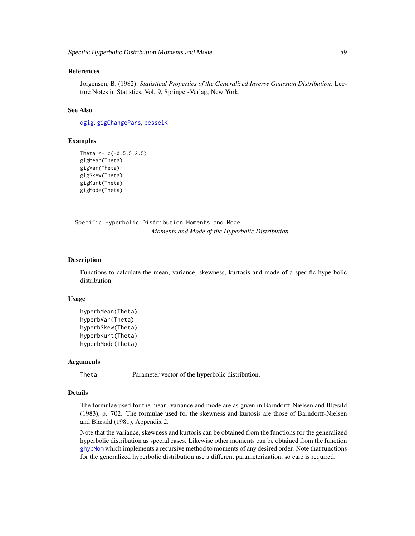#### <span id="page-58-0"></span>References

Jorgensen, B. (1982). *Statistical Properties of the Generalized Inverse Gaussian Distribution*. Lecture Notes in Statistics, Vol. 9, Springer-Verlag, New York.

## See Also

[dgig](#page-4-1), [gigChangePars](#page-17-1), [besselK](#page-0-0)

## Examples

```
Theta <-c(-0.5, 5, 2.5)gigMean(Theta)
gigVar(Theta)
gigSkew(Theta)
gigKurt(Theta)
gigMode(Theta)
```
Specific Hyperbolic Distribution Moments and Mode *Moments and Mode of the Hyperbolic Distribution*

#### <span id="page-58-1"></span>Description

Functions to calculate the mean, variance, skewness, kurtosis and mode of a specific hyperbolic distribution.

#### Usage

```
hyperbMean(Theta)
hyperbVar(Theta)
hyperbSkew(Theta)
hyperbKurt(Theta)
hyperbMode(Theta)
```
#### Arguments

Theta Parameter vector of the hyperbolic distribution.

## Details

The formulae used for the mean, variance and mode are as given in Barndorff-Nielsen and Blæsild (1983), p. 702. The formulae used for the skewness and kurtosis are those of Barndorff-Nielsen and Blæsild (1981), Appendix 2.

Note that the variance, skewness and kurtosis can be obtained from the functions for the generalized hyperbolic distribution as special cases. Likewise other moments can be obtained from the function [ghypMom](#page-14-1) which implements a recursive method to moments of any desired order. Note that functions for the generalized hyperbolic distribution use a different parameterization, so care is required.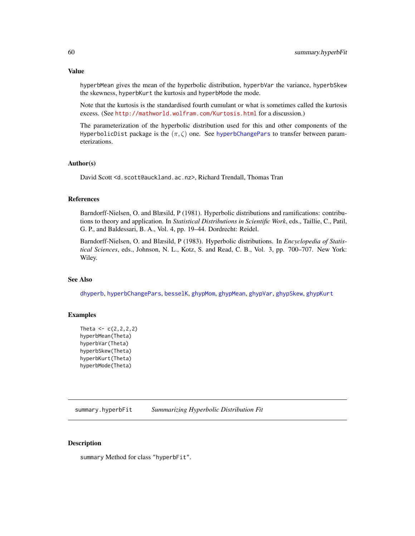#### <span id="page-59-0"></span>Value

hyperbMean gives the mean of the hyperbolic distribution, hyperbVar the variance, hyperbSkew the skewness, hyperbKurt the kurtosis and hyperbMode the mode.

Note that the kurtosis is the standardised fourth cumulant or what is sometimes called the kurtosis excess. (See <http://mathworld.wolfram.com/Kurtosis.html> for a discussion.)

The parameterization of the hyperbolic distribution used for this and other components of the HyperbolicDist package is the  $(\pi, \zeta)$  one. See [hyperbChangePars](#page-25-1) to transfer between parameterizations.

## Author(s)

David Scott <d.scott@auckland.ac.nz>, Richard Trendall, Thomas Tran

## References

Barndorff-Nielsen, O. and Blæsild, P (1981). Hyperbolic distributions and ramifications: contributions to theory and application. In *Statistical Distributions in Scientific Work*, eds., Taillie, C., Patil, G. P., and Baldessari, B. A., Vol. 4, pp. 19–44. Dordrecht: Reidel.

Barndorff-Nielsen, O. and Blæsild, P (1983). Hyperbolic distributions. In *Encyclopedia of Statistical Sciences*, eds., Johnson, N. L., Kotz, S. and Read, C. B., Vol. 3, pp. 700–707. New York: Wiley.

## See Also

[dhyperb](#page-33-1), [hyperbChangePars](#page-25-1), [besselK](#page-0-0), [ghypMom](#page-14-1), [ghypMean](#page-56-1), [ghypVar](#page-56-1), [ghypSkew](#page-56-1), [ghypKurt](#page-56-1)

#### Examples

```
Theta <-c(2,2,2,2)hyperbMean(Theta)
hyperbVar(Theta)
hyperbSkew(Theta)
hyperbKurt(Theta)
hyperbMode(Theta)
```
summary.hyperbFit *Summarizing Hyperbolic Distribution Fit*

## Description

summary Method for class "hyperbFit".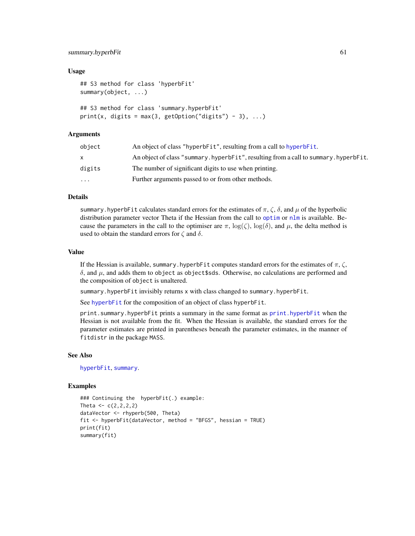#### <span id="page-60-0"></span>summary.hyperbFit 61

#### Usage

```
## S3 method for class 'hyperbFit'
summary(object, ...)
## S3 method for class 'summary.hyperbFit'
print(x, digits = max(3, getOption("digits") - 3), ...)
```
## Arguments

| object    | An object of class "hyperbFit", resulting from a call to hyperbFit.                 |
|-----------|-------------------------------------------------------------------------------------|
| x.        | An object of class "summary.hyperbFit", resulting from a call to summary.hyperbFit. |
| digits    | The number of significant digits to use when printing.                              |
| $\ddotsc$ | Further arguments passed to or from other methods.                                  |

## Details

summary.hyperbFit calculates standard errors for the estimates of  $\pi$ ,  $\zeta$ ,  $\delta$ , and  $\mu$  of the hyperbolic distribution parameter vector Theta if the Hessian from the call to [optim](#page-0-0) or  $n \text{Im } n$  is available. Because the parameters in the call to the optimiser are  $\pi$ ,  $\log(\zeta)$ ,  $\log(\delta)$ , and  $\mu$ , the delta method is used to obtain the standard errors for  $\zeta$  and  $\delta$ .

#### Value

If the Hessian is available, summary.hyperbFit computes standard errors for the estimates of  $\pi$ ,  $\zeta$ ,  $\delta$ , and  $\mu$ , and adds them to object as object \$sds. Otherwise, no calculations are performed and the composition of object is unaltered.

summary.hyperbFit invisibly returns x with class changed to summary.hyperbFit.

See [hyperbFit](#page-28-1) for the composition of an object of class hyperbFit.

print.summary.hyperbFit prints a summary in the same format as [print.hyperbFit](#page-28-2) when the Hessian is not available from the fit. When the Hessian is available, the standard errors for the parameter estimates are printed in parentheses beneath the parameter estimates, in the manner of fitdistr in the package MASS.

#### See Also

[hyperbFit](#page-28-1), [summary](#page-0-0).

```
### Continuing the hyperbFit(.) example:
Theta <-c(2,2,2,2)dataVector <- rhyperb(500, Theta)
fit <- hyperbFit(dataVector, method = "BFGS", hessian = TRUE)
print(fit)
summary(fit)
```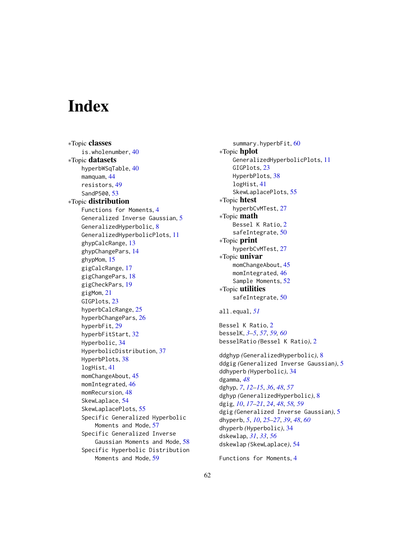# <span id="page-61-0"></span>**Index**

∗Topic classes is.wholenumber, [40](#page-39-0) ∗Topic datasets hyperbWSqTable, [40](#page-39-0) mamquam, [44](#page-43-0) resistors, [49](#page-48-0) SandP500, [53](#page-52-0) ∗Topic distribution Functions for Moments, [4](#page-3-0) Generalized Inverse Gaussian, [5](#page-4-0) GeneralizedHyperbolic, [8](#page-7-0) GeneralizedHyperbolicPlots, [11](#page-10-0) ghypCalcRange, [13](#page-12-0) ghypChangePars, [14](#page-13-0) ghypMom, [15](#page-14-0) gigCalcRange, [17](#page-16-0) gigChangePars, [18](#page-17-0) gigCheckPars, [19](#page-18-0) gigMom, [21](#page-20-0) GIGPlots, [23](#page-22-0) hyperbCalcRange, [25](#page-24-0) hyperbChangePars, [26](#page-25-0) hyperbFit, [29](#page-28-0) hyperbFitStart, [32](#page-31-0) Hyperbolic, [34](#page-33-0) HyperbolicDistribution, [37](#page-36-0) HyperbPlots, [38](#page-37-0) logHist, [41](#page-40-0) momChangeAbout, [45](#page-44-0) momIntegrated, [46](#page-45-0) momRecursion, [48](#page-47-0) SkewLaplace, [54](#page-53-0) SkewLaplacePlots, [55](#page-54-0) Specific Generalized Hyperbolic Moments and Mode, [57](#page-56-0) Specific Generalized Inverse Gaussian Moments and Mode, [58](#page-57-0) Specific Hyperbolic Distribution Moments and Mode, [59](#page-58-0)

summary.hyperbFit, [60](#page-59-0) ∗Topic hplot GeneralizedHyperbolicPlots, [11](#page-10-0) GIGPlots, [23](#page-22-0) HyperbPlots, [38](#page-37-0) logHist, [41](#page-40-0) SkewLaplacePlots, [55](#page-54-0) ∗Topic htest hyperbCvMTest, [27](#page-26-0) ∗Topic math Bessel K Ratio, [2](#page-1-0) safeIntegrate, [50](#page-49-0) ∗Topic print hyperbCvMTest, [27](#page-26-0) ∗Topic univar momChangeAbout, [45](#page-44-0) momIntegrated, [46](#page-45-0) Sample Moments, [52](#page-51-0) ∗Topic utilities safeIntegrate, [50](#page-49-0) all.equal, *[51](#page-50-0)* Bessel K Ratio, [2](#page-1-0) besselK, *[3](#page-2-0)[–5](#page-4-0)*, *[57](#page-56-0)*, *[59,](#page-58-0) [60](#page-59-0)* besselRatio *(*Bessel K Ratio*)*, [2](#page-1-0) ddghyp *(*GeneralizedHyperbolic*)*, [8](#page-7-0) ddgig *(*Generalized Inverse Gaussian*)*, [5](#page-4-0) ddhyperb *(*Hyperbolic*)*, [34](#page-33-0) dgamma, *[48](#page-47-0)* dghyp, *[7](#page-6-0)*, *[12](#page-11-0)[–15](#page-14-0)*, *[36](#page-35-0)*, *[48](#page-47-0)*, *[57](#page-56-0)* dghyp *(*GeneralizedHyperbolic*)*, [8](#page-7-0) dgig, *[10](#page-9-0)*, *[17](#page-16-0)[–21](#page-20-0)*, *[24](#page-23-0)*, *[48](#page-47-0)*, *[58,](#page-57-0) [59](#page-58-0)* dgig *(*Generalized Inverse Gaussian*)*, [5](#page-4-0) dhyperb, *[5](#page-4-0)*, *[10](#page-9-0)*, *[25](#page-24-0)[–27](#page-26-0)*, *[39](#page-38-0)*, *[48](#page-47-0)*, *[60](#page-59-0)* dhyperb *(*Hyperbolic*)*, [34](#page-33-0) dskewlap, *[31](#page-30-0)*, *[33](#page-32-0)*, *[56](#page-55-0)* dskewlap *(*SkewLaplace*)*, [54](#page-53-0)

```
Functions for Moments, 4
```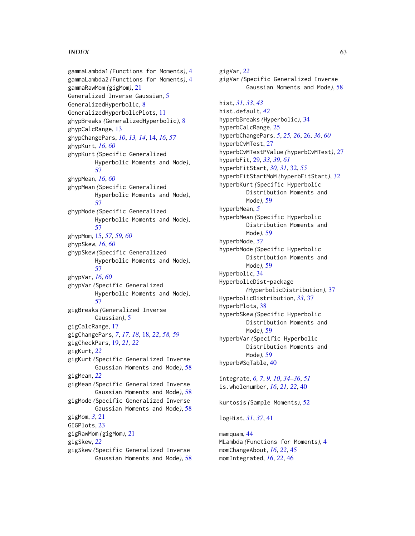#### $I<sub>N</sub>DEX$  63

gammaLambda1 *(*Functions for Moments*)*, [4](#page-3-0) gammaLambda2 *(*Functions for Moments*)*, [4](#page-3-0) gammaRawMom *(*gigMom*)*, [21](#page-20-0) Generalized Inverse Gaussian, [5](#page-4-0) GeneralizedHyperbolic, [8](#page-7-0) GeneralizedHyperbolicPlots, [11](#page-10-0) ghypBreaks *(*GeneralizedHyperbolic*)*, [8](#page-7-0) ghypCalcRange, [13](#page-12-0) ghypChangePars, *[10](#page-9-0)*, *[13,](#page-12-0) [14](#page-13-0)*, [14,](#page-13-0) *[16](#page-15-0)*, *[57](#page-56-0)* ghypKurt, *[16](#page-15-0)*, *[60](#page-59-0)* ghypKurt *(*Specific Generalized Hyperbolic Moments and Mode*)*, [57](#page-56-0) ghypMean, *[16](#page-15-0)*, *[60](#page-59-0)* ghypMean *(*Specific Generalized Hyperbolic Moments and Mode*)*, [57](#page-56-0) ghypMode *(*Specific Generalized Hyperbolic Moments and Mode*)*, [57](#page-56-0) ghypMom, [15,](#page-14-0) *[57](#page-56-0)*, *[59,](#page-58-0) [60](#page-59-0)* ghypSkew, *[16](#page-15-0)*, *[60](#page-59-0)* ghypSkew *(*Specific Generalized Hyperbolic Moments and Mode*)*, [57](#page-56-0) ghypVar, *[16](#page-15-0)*, *[60](#page-59-0)* ghypVar *(*Specific Generalized Hyperbolic Moments and Mode*)*, [57](#page-56-0) gigBreaks *(*Generalized Inverse Gaussian*)*, [5](#page-4-0) gigCalcRange, [17](#page-16-0) gigChangePars, *[7](#page-6-0)*, *[17,](#page-16-0) [18](#page-17-0)*, [18,](#page-17-0) *[22](#page-21-0)*, *[58,](#page-57-0) [59](#page-58-0)* gigCheckPars, [19,](#page-18-0) *[21,](#page-20-0) [22](#page-21-0)* gigKurt, *[22](#page-21-0)* gigKurt *(*Specific Generalized Inverse Gaussian Moments and Mode*)*, [58](#page-57-0) gigMean, *[22](#page-21-0)* gigMean *(*Specific Generalized Inverse Gaussian Moments and Mode*)*, [58](#page-57-0) gigMode *(*Specific Generalized Inverse Gaussian Moments and Mode*)*, [58](#page-57-0) gigMom, *[3](#page-2-0)*, [21](#page-20-0) GIGPlots, [23](#page-22-0) gigRawMom *(*gigMom*)*, [21](#page-20-0) gigSkew, *[22](#page-21-0)* gigSkew *(*Specific Generalized Inverse Gaussian Moments and Mode*)*, [58](#page-57-0)

gigVar, *[22](#page-21-0)* gigVar *(*Specific Generalized Inverse Gaussian Moments and Mode*)*, [58](#page-57-0) hist, *[31](#page-30-0)*, *[33](#page-32-0)*, *[43](#page-42-0)* hist.default, *[42](#page-41-0)* hyperbBreaks *(*Hyperbolic*)*, [34](#page-33-0) hyperbCalcRange, [25](#page-24-0) hyperbChangePars, *[5](#page-4-0)*, *[25,](#page-24-0) [26](#page-25-0)*, [26,](#page-25-0) *[36](#page-35-0)*, *[60](#page-59-0)* hyperbCvMTest, [27](#page-26-0) hyperbCvMTestPValue *(*hyperbCvMTest*)*, [27](#page-26-0) hyperbFit, [29,](#page-28-0) *[33](#page-32-0)*, *[39](#page-38-0)*, *[61](#page-60-0)* hyperbFitStart, *[30,](#page-29-0) [31](#page-30-0)*, [32,](#page-31-0) *[55](#page-54-0)* hyperbFitStartMoM *(*hyperbFitStart*)*, [32](#page-31-0) hyperbKurt *(*Specific Hyperbolic Distribution Moments and Mode*)*, [59](#page-58-0) hyperbMean, *[5](#page-4-0)* hyperbMean *(*Specific Hyperbolic Distribution Moments and Mode*)*, [59](#page-58-0) hyperbMode, *[57](#page-56-0)* hyperbMode *(*Specific Hyperbolic Distribution Moments and Mode*)*, [59](#page-58-0) Hyperbolic, [34](#page-33-0) HyperbolicDist-package *(*HyperbolicDistribution*)*, [37](#page-36-0) HyperbolicDistribution, *[33](#page-32-0)*, [37](#page-36-0) HyperbPlots, [38](#page-37-0) hyperbSkew *(*Specific Hyperbolic Distribution Moments and Mode*)*, [59](#page-58-0) hyperbVar *(*Specific Hyperbolic Distribution Moments and Mode*)*, [59](#page-58-0) hyperbWSqTable, [40](#page-39-0) integrate, *[6,](#page-5-0) [7](#page-6-0)*, *[9,](#page-8-0) [10](#page-9-0)*, *[34](#page-33-0)[–36](#page-35-0)*, *[51](#page-50-0)* is.wholenumber, *[16](#page-15-0)*, *[21,](#page-20-0) [22](#page-21-0)*, [40](#page-39-0)

kurtosis *(*Sample Moments*)*, [52](#page-51-0)

logHist, *[31](#page-30-0)*, *[37](#page-36-0)*, [41](#page-40-0)

mamquam, [44](#page-43-0) MLambda *(*Functions for Moments*)*, [4](#page-3-0) momChangeAbout, *[16](#page-15-0)*, *[22](#page-21-0)*, [45](#page-44-0) momIntegrated, *[16](#page-15-0)*, *[22](#page-21-0)*, [46](#page-45-0)